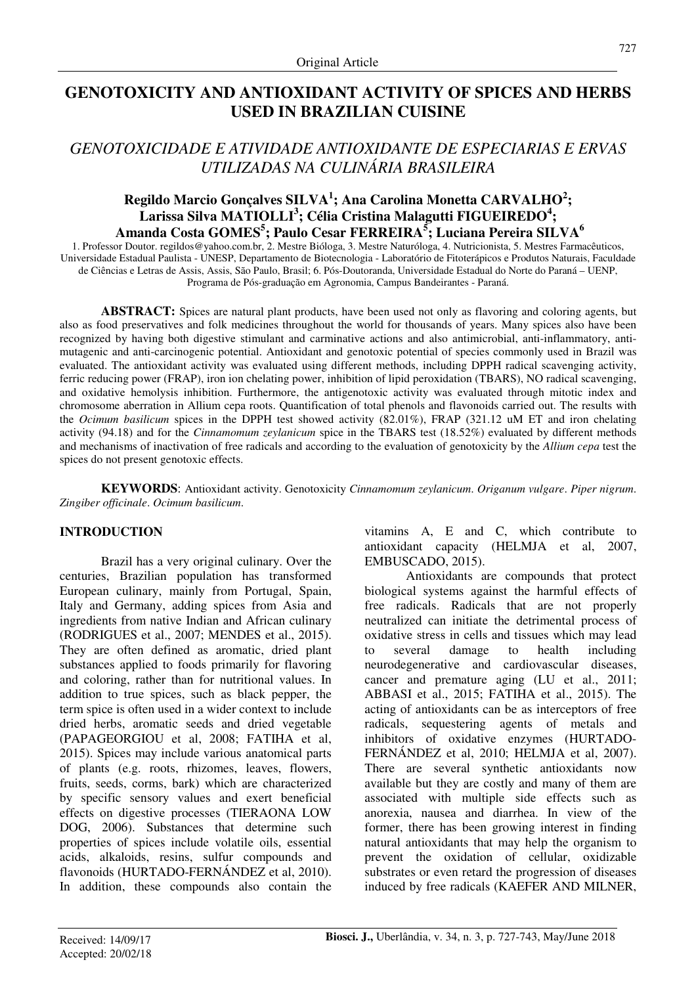# **GENOTOXICITY AND ANTIOXIDANT ACTIVITY OF SPICES AND HERBS USED IN BRAZILIAN CUISINE**

# *GENOTOXICIDADE E ATIVIDADE ANTIOXIDANTE DE ESPECIARIAS E ERVAS UTILIZADAS NA CULINÁRIA BRASILEIRA*

# **Regildo Marcio Gonçalves SILVA<sup>1</sup> ; Ana Carolina Monetta CARVALHO<sup>2</sup> ; Larissa Silva MATIOLLI<sup>3</sup> ; Célia Cristina Malagutti FIGUEIREDO<sup>4</sup> ; Amanda Costa GOMES<sup>5</sup> ; Paulo Cesar FERREIRA<sup>5</sup> ; Luciana Pereira SILVA<sup>6</sup>**

1. Professor Doutor. regildos@yahoo.com.br, 2. Mestre Bióloga, 3. Mestre Naturóloga, 4. Nutricionista, 5. Mestres Farmacêuticos, Universidade Estadual Paulista - UNESP, Departamento de Biotecnologia - Laboratório de Fitoterápicos e Produtos Naturais, Faculdade de Ciências e Letras de Assis, Assis, São Paulo, Brasil; 6. Pós-Doutoranda, Universidade Estadual do Norte do Paraná – UENP, Programa de Pós-graduação em Agronomia, Campus Bandeirantes - Paraná.

**ABSTRACT:** Spices are natural plant products, have been used not only as flavoring and coloring agents, but also as food preservatives and folk medicines throughout the world for thousands of years. Many spices also have been recognized by having both digestive stimulant and carminative actions and also antimicrobial, anti-inflammatory, antimutagenic and anti-carcinogenic potential. Antioxidant and genotoxic potential of species commonly used in Brazil was evaluated. The antioxidant activity was evaluated using different methods, including DPPH radical scavenging activity, ferric reducing power (FRAP), iron ion chelating power, inhibition of lipid peroxidation (TBARS), NO radical scavenging, and oxidative hemolysis inhibition. Furthermore, the antigenotoxic activity was evaluated through mitotic index and chromosome aberration in Allium cepa roots. Quantification of total phenols and flavonoids carried out. The results with the *Ocimum basilicum* spices in the DPPH test showed activity (82.01%), FRAP (321.12 uM ET and iron chelating activity (94.18) and for the *Cinnamomum zeylanicum* spice in the TBARS test (18.52%) evaluated by different methods and mechanisms of inactivation of free radicals and according to the evaluation of genotoxicity by the *Allium cepa* test the spices do not present genotoxic effects.

**KEYWORDS**: Antioxidant activity. Genotoxicity *Cinnamomum zeylanicum*. *Origanum vulgare*. *Piper nigrum*. *Zingiber officinale*. *Ocimum basilicum*.

# **INTRODUCTION**

Brazil has a very original culinary. Over the centuries, Brazilian population has transformed European culinary, mainly from Portugal, Spain, Italy and Germany, adding spices from Asia and ingredients from native Indian and African culinary (RODRIGUES et al., 2007; MENDES et al., 2015). They are often defined as aromatic, dried plant substances applied to foods primarily for flavoring and coloring, rather than for nutritional values. In addition to true spices, such as black pepper, the term spice is often used in a wider context to include dried herbs, aromatic seeds and dried vegetable (PAPAGEORGIOU et al, 2008; FATIHA et al, 2015). Spices may include various anatomical parts of plants (e.g. roots, rhizomes, leaves, flowers, fruits, seeds, corms, bark) which are characterized by specific sensory values and exert beneficial effects on digestive processes (TIERAONA LOW DOG, 2006). Substances that determine such properties of spices include volatile oils, essential acids, alkaloids, resins, sulfur compounds and flavonoids (HURTADO-FERNÁNDEZ et al, 2010). In addition, these compounds also contain the vitamins A, E and C, which contribute to antioxidant capacity (HELMJA et al, 2007, EMBUSCADO, 2015).

Antioxidants are compounds that protect biological systems against the harmful effects of free radicals. Radicals that are not properly neutralized can initiate the detrimental process of oxidative stress in cells and tissues which may lead to several damage to health including neurodegenerative and cardiovascular diseases, cancer and premature aging (LU et al., 2011; ABBASI et al., 2015; FATIHA et al., 2015). The acting of antioxidants can be as interceptors of free radicals, sequestering agents of metals and inhibitors of oxidative enzymes (HURTADO-FERNÁNDEZ et al, 2010; HELMJA et al, 2007). There are several synthetic antioxidants now available but they are costly and many of them are associated with multiple side effects such as anorexia, nausea and diarrhea. In view of the former, there has been growing interest in finding natural antioxidants that may help the organism to prevent the oxidation of cellular, oxidizable substrates or even retard the progression of diseases induced by free radicals (KAEFER AND MILNER,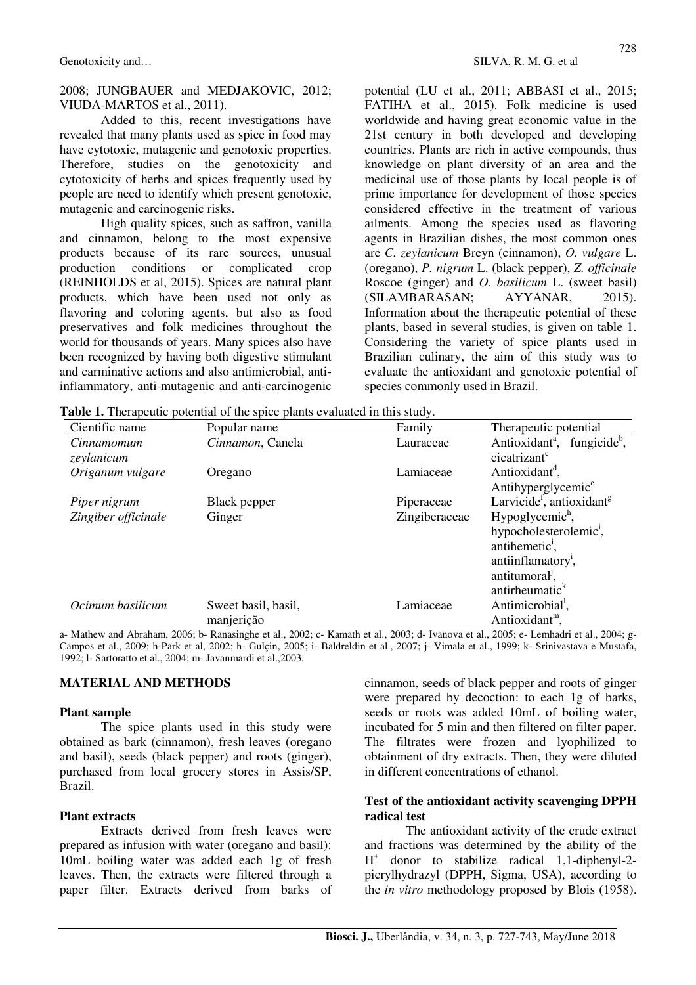2008; JUNGBAUER and MEDJAKOVIC, 2012; VIUDA-MARTOS et al., 2011).

Added to this, recent investigations have revealed that many plants used as spice in food may have cytotoxic, mutagenic and genotoxic properties. Therefore, studies on the genotoxicity and cytotoxicity of herbs and spices frequently used by people are need to identify which present genotoxic, mutagenic and carcinogenic risks.

High quality spices, such as saffron, vanilla and cinnamon, belong to the most expensive products because of its rare sources, unusual production conditions or complicated crop (REINHOLDS et al, 2015). Spices are natural plant products, which have been used not only as flavoring and coloring agents, but also as food preservatives and folk medicines throughout the world for thousands of years. Many spices also have been recognized by having both digestive stimulant and carminative actions and also antimicrobial, antiinflammatory, anti-mutagenic and anti-carcinogenic potential (LU et al., 2011; ABBASI et al., 2015; FATIHA et al., 2015). Folk medicine is used worldwide and having great economic value in the 21st century in both developed and developing countries. Plants are rich in active compounds, thus knowledge on plant diversity of an area and the medicinal use of those plants by local people is of prime importance for development of those species considered effective in the treatment of various ailments. Among the species used as flavoring agents in Brazilian dishes, the most common ones are *C. zeylanicum* Breyn (cinnamon), *O. vulgare* L. (oregano), *P. nigrum* L. (black pepper), *Z. officinale*  Roscoe (ginger) and *O. basilicum* L. (sweet basil) (SILAMBARASAN; AYYANAR, 2015). Information about the therapeutic potential of these plants, based in several studies, is given on table 1. Considering the variety of spice plants used in Brazilian culinary, the aim of this study was to evaluate the antioxidant and genotoxic potential of species commonly used in Brazil.

**Table 1.** Therapeutic potential of the spice plants evaluated in this study.

| Cientific name           | Popular name                      | Family        | Therapeutic potential                                                                                                                                                                         |
|--------------------------|-----------------------------------|---------------|-----------------------------------------------------------------------------------------------------------------------------------------------------------------------------------------------|
| Cinnamomum<br>zeylanicum | Cinnamon, Canela                  | Lauraceae     | Antioxidant <sup>a</sup> , fungicide <sup>b</sup> ,<br>cicatrizant <sup>c</sup>                                                                                                               |
| Origanum vulgare         | Oregano                           | Lamiaceae     | Antioxidant <sup>d</sup> ,<br>Antihyperglycemic <sup>e</sup>                                                                                                                                  |
| Piper nigrum             | Black pepper                      | Piperaceae    | Larvicide <sup>f</sup> , antioxidant <sup>g</sup>                                                                                                                                             |
| Zingiber officinale      | Ginger                            | Zingiberaceae | Hypoglycemic <sup>h</sup> ,<br>hypocholesterolemic <sup>1</sup> ,<br>antihemetic <sup>1</sup> ,<br>antiinflamatory <sup>1</sup> ,<br>antitumoral <sup>1</sup> ,<br>antirheumatic <sup>k</sup> |
| Ocimum basilicum         | Sweet basil, basil,<br>manjerição | Lamiaceae     | Antimicrobial <sup>1</sup> ,<br>Antioxidant <sup>m</sup> ,                                                                                                                                    |

a- Mathew and Abraham, 2006; b- Ranasinghe et al., 2002; c- Kamath et al., 2003; d- Ivanova et al., 2005; e- Lemhadri et al., 2004; g-Campos et al., 2009; h-Park et al, 2002; h- Gulçin, 2005; i- Baldreldin et al., 2007; j- Vimala et al., 1999; k- Srinivastava e Mustafa, 1992; l- Sartoratto et al., 2004; m- Javanmardi et al.,2003.

#### **MATERIAL AND METHODS**

#### **Plant sample**

The spice plants used in this study were obtained as bark (cinnamon), fresh leaves (oregano and basil), seeds (black pepper) and roots (ginger), purchased from local grocery stores in Assis/SP, Brazil.

### **Plant extracts**

Extracts derived from fresh leaves were prepared as infusion with water (oregano and basil): 10mL boiling water was added each 1g of fresh leaves. Then, the extracts were filtered through a paper filter. Extracts derived from barks of cinnamon, seeds of black pepper and roots of ginger were prepared by decoction: to each 1g of barks, seeds or roots was added 10mL of boiling water, incubated for 5 min and then filtered on filter paper. The filtrates were frozen and lyophilized to obtainment of dry extracts. Then, they were diluted in different concentrations of ethanol.

### **Test of the antioxidant activity scavenging DPPH radical test**

The antioxidant activity of the crude extract and fractions was determined by the ability of the H + donor to stabilize radical 1,1-diphenyl-2 picrylhydrazyl (DPPH, Sigma, USA), according to the *in vitro* methodology proposed by Blois (1958).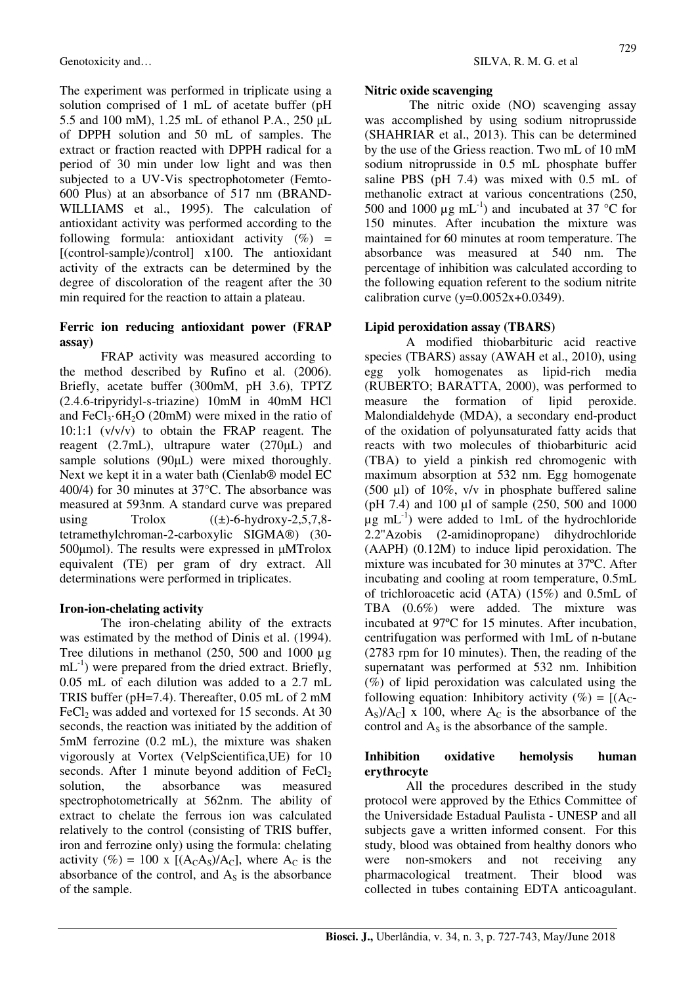The experiment was performed in triplicate using a solution comprised of 1 mL of acetate buffer (pH 5.5 and 100 mM), 1.25 mL of ethanol P.A., 250 µL of DPPH solution and 50 mL of samples. The extract or fraction reacted with DPPH radical for a period of 30 min under low light and was then subjected to a UV-Vis spectrophotometer (Femto-600 Plus) at an absorbance of 517 nm (BRAND-WILLIAMS et al., 1995). The calculation of antioxidant activity was performed according to the following formula: antioxidant activity  $(\%)$  = [(control-sample)/control] x100. The antioxidant activity of the extracts can be determined by the degree of discoloration of the reagent after the 30 min required for the reaction to attain a plateau.

### **Ferric ion reducing antioxidant power (FRAP assay)**

FRAP activity was measured according to the method described by Rufino et al. (2006). Briefly, acetate buffer (300mM, pH 3.6), TPTZ (2.4.6-tripyridyl-s-triazine) 10mM in 40mM HCl and FeCl<sub>3</sub> $\cdot$  6H<sub>2</sub>O (20mM) were mixed in the ratio of 10:1:1 (v/v/v) to obtain the FRAP reagent. The reagent (2.7mL), ultrapure water (270µL) and sample solutions (90µL) were mixed thoroughly. Next we kept it in a water bath (Cienlab® model EC 400/4) for 30 minutes at 37°C. The absorbance was measured at 593nm. A standard curve was prepared using  $Trolox$   $((\pm)$ -6-hydroxy-2,5,7,8tetramethylchroman-2-carboxylic SIGMA®) (30- 500µmol). The results were expressed in µMTrolox equivalent (TE) per gram of dry extract. All determinations were performed in triplicates.

### **Iron-ion-chelating activity**

The iron-chelating ability of the extracts was estimated by the method of Dinis et al. (1994). Tree dilutions in methanol (250, 500 and 1000 µg  $mL^{-1}$ ) were prepared from the dried extract. Briefly, 0.05 mL of each dilution was added to a 2.7 mL TRIS buffer (pH=7.4). Thereafter, 0.05 mL of 2 mM FeCl<sub>2</sub> was added and vortexed for 15 seconds. At 30 seconds, the reaction was initiated by the addition of 5mM ferrozine (0.2 mL), the mixture was shaken vigorously at Vortex (VelpScientifica,UE) for 10 seconds. After 1 minute beyond addition of  $FeCl<sub>2</sub>$ solution, the absorbance was measured spectrophotometrically at 562nm. The ability of extract to chelate the ferrous ion was calculated relatively to the control (consisting of TRIS buffer, iron and ferrozine only) using the formula: chelating activity (%) = 100 x [ $(A<sub>C</sub>A<sub>S</sub>)/A<sub>C</sub>$ ], where  $A<sub>C</sub>$  is the absorbance of the control, and  $A<sub>S</sub>$  is the absorbance of the sample.

### **Nitric oxide scavenging**

 The nitric oxide (NO) scavenging assay was accomplished by using sodium nitroprusside (SHAHRIAR et al., 2013). This can be determined by the use of the Griess reaction. Two mL of 10 mM sodium nitroprusside in 0.5 mL phosphate buffer saline PBS (pH 7.4) was mixed with 0.5 mL of methanolic extract at various concentrations (250, 500 and 1000  $\mu$ g mL<sup>-1</sup>) and incubated at 37 °C for 150 minutes. After incubation the mixture was maintained for 60 minutes at room temperature. The absorbance was measured at 540 nm. The percentage of inhibition was calculated according to the following equation referent to the sodium nitrite calibration curve (y= $0.0052x+0.0349$ ).

# **Lipid peroxidation assay (TBARS)**

A modified thiobarbituric acid reactive species (TBARS) assay (AWAH et al., 2010), using egg yolk homogenates as lipid-rich media (RUBERTO; BARATTA, 2000), was performed to measure the formation of lipid peroxide. Malondialdehyde (MDA), a secondary end-product of the oxidation of polyunsaturated fatty acids that reacts with two molecules of thiobarbituric acid (TBA) to yield a pinkish red chromogenic with maximum absorption at 532 nm. Egg homogenate (500  $\mu$ l) of 10%, v/v in phosphate buffered saline (pH 7.4) and 100 µl of sample (250, 500 and 1000  $\mu$ g mL<sup>-1</sup>) were added to 1mL of the hydrochloride 2.2''Azobis (2-amidinopropane) dihydrochloride (AAPH) (0.12M) to induce lipid peroxidation. The mixture was incubated for 30 minutes at 37ºC. After incubating and cooling at room temperature, 0.5mL of trichloroacetic acid (ATA) (15%) and 0.5mL of TBA (0.6%) were added. The mixture was incubated at 97ºC for 15 minutes. After incubation, centrifugation was performed with 1mL of n-butane (2783 rpm for 10 minutes). Then, the reading of the supernatant was performed at 532 nm. Inhibition (%) of lipid peroxidation was calculated using the following equation: Inhibitory activity (%) =  $[(A_C -$ As)/ $A<sub>c</sub>$ ] x 100, where  $A<sub>c</sub>$  is the absorbance of the control and  $A<sub>S</sub>$  is the absorbance of the sample.

## **Inhibition oxidative hemolysis human erythrocyte**

All the procedures described in the study protocol were approved by the Ethics Committee of the Universidade Estadual Paulista - UNESP and all subjects gave a written informed consent. For this study, blood was obtained from healthy donors who were non-smokers and not receiving any pharmacological treatment. Their blood was collected in tubes containing EDTA anticoagulant.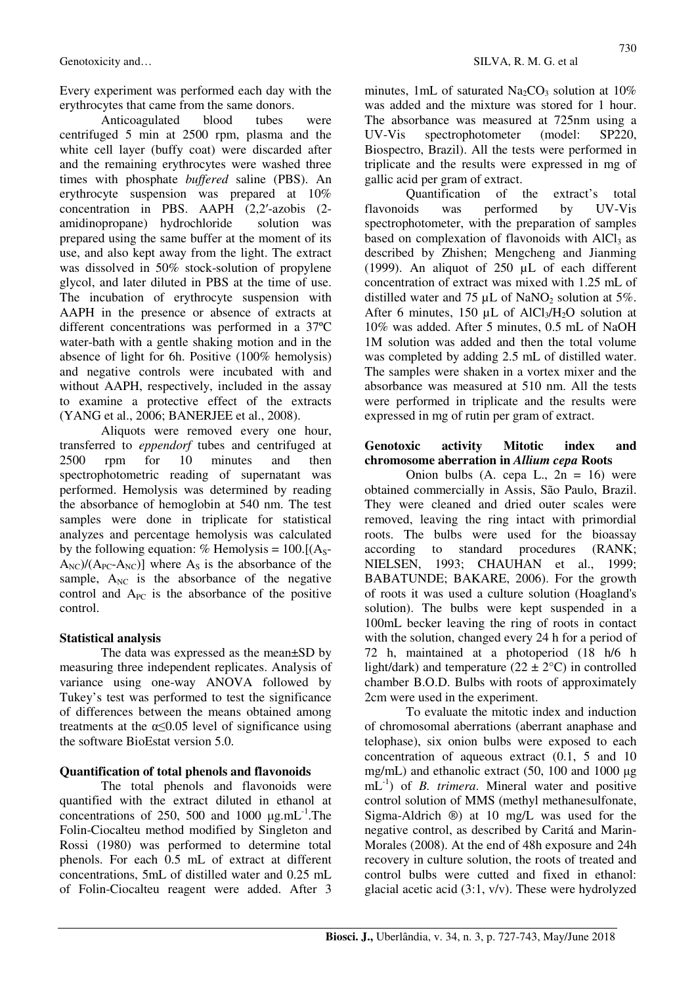Every experiment was performed each day with the erythrocytes that came from the same donors.

Anticoagulated blood tubes were centrifuged 5 min at 2500 rpm, plasma and the white cell layer (buffy coat) were discarded after and the remaining erythrocytes were washed three times with phosphate *buffered* saline (PBS). An erythrocyte suspension was prepared at 10% concentration in PBS. AAPH (2,2′-azobis (2 amidinopropane) hydrochloride solution was prepared using the same buffer at the moment of its use, and also kept away from the light. The extract was dissolved in 50% stock-solution of propylene glycol, and later diluted in PBS at the time of use. The incubation of erythrocyte suspension with AAPH in the presence or absence of extracts at different concentrations was performed in a 37ºC water-bath with a gentle shaking motion and in the absence of light for 6h. Positive (100% hemolysis) and negative controls were incubated with and without AAPH, respectively, included in the assay to examine a protective effect of the extracts (YANG et al., 2006; BANERJEE et al., 2008).

Aliquots were removed every one hour, transferred to *eppendorf* tubes and centrifuged at 2500 rpm for 10 minutes and then spectrophotometric reading of supernatant was performed. Hemolysis was determined by reading the absorbance of hemoglobin at 540 nm. The test samples were done in triplicate for statistical analyzes and percentage hemolysis was calculated by the following equation: % Hemolysis =  $100$ .[(A<sub>S</sub>- $A_{NC}/(A_{PC}-A_{NC})$ ] where  $A_S$  is the absorbance of the sample,  $A_{NC}$  is the absorbance of the negative control and  $A_{PC}$  is the absorbance of the positive control.

### **Statistical analysis**

The data was expressed as the mean±SD by measuring three independent replicates. Analysis of variance using one-way ANOVA followed by Tukey's test was performed to test the significance of differences between the means obtained among treatments at the  $\alpha \leq 0.05$  level of significance using the software BioEstat version 5.0.

#### **Quantification of total phenols and flavonoids**

The total phenols and flavonoids were quantified with the extract diluted in ethanol at concentrations of 250, 500 and 1000  $\mu$ g.mL<sup>-1</sup>.The Folin-Ciocalteu method modified by Singleton and Rossi (1980) was performed to determine total phenols. For each 0.5 mL of extract at different concentrations, 5mL of distilled water and 0.25 mL of Folin-Ciocalteu reagent were added. After 3

minutes, 1mL of saturated  $Na<sub>2</sub>CO<sub>3</sub>$  solution at 10% was added and the mixture was stored for 1 hour. The absorbance was measured at 725nm using a UV-Vis spectrophotometer (model: SP220, Biospectro, Brazil). All the tests were performed in triplicate and the results were expressed in mg of gallic acid per gram of extract.

Quantification of the extract's total flavonoids was performed by UV-Vis spectrophotometer, with the preparation of samples based on complexation of flavonoids with  $AICI<sub>3</sub>$  as described by Zhishen; Mengcheng and Jianming (1999). An aliquot of 250 µL of each different concentration of extract was mixed with 1.25 mL of distilled water and 75  $\mu$ L of NaNO<sub>2</sub> solution at 5%. After 6 minutes, 150  $\mu$ L of AlCl<sub>3</sub>/H<sub>2</sub>O solution at 10% was added. After 5 minutes, 0.5 mL of NaOH 1M solution was added and then the total volume was completed by adding 2.5 mL of distilled water. The samples were shaken in a vortex mixer and the absorbance was measured at 510 nm. All the tests were performed in triplicate and the results were expressed in mg of rutin per gram of extract.

#### **Genotoxic activity Mitotic index and chromosome aberration in** *Allium cepa* **Roots**

Onion bulbs (A. cepa L.,  $2n = 16$ ) were obtained commercially in Assis, São Paulo, Brazil. They were cleaned and dried outer scales were removed, leaving the ring intact with primordial roots. The bulbs were used for the bioassay according to standard procedures (RANK; NIELSEN, 1993; CHAUHAN et al., 1999; BABATUNDE; BAKARE, 2006). For the growth of roots it was used a culture solution (Hoagland's solution). The bulbs were kept suspended in a 100mL becker leaving the ring of roots in contact with the solution, changed every 24 h for a period of 72 h, maintained at a photoperiod (18 h/6 h light/dark) and temperature  $(22 \pm 2^{\circ}C)$  in controlled chamber B.O.D. Bulbs with roots of approximately 2cm were used in the experiment.

To evaluate the mitotic index and induction of chromosomal aberrations (aberrant anaphase and telophase), six onion bulbs were exposed to each concentration of aqueous extract (0.1, 5 and 10 mg/mL) and ethanolic extract (50, 100 and 1000 µg mL-1) of *B. trimera*. Mineral water and positive control solution of MMS (methyl methanesulfonate, Sigma-Aldrich ®) at 10 mg/L was used for the negative control, as described by Caritá and Marin-Morales (2008). At the end of 48h exposure and 24h recovery in culture solution, the roots of treated and control bulbs were cutted and fixed in ethanol: glacial acetic acid (3:1, v/v). These were hydrolyzed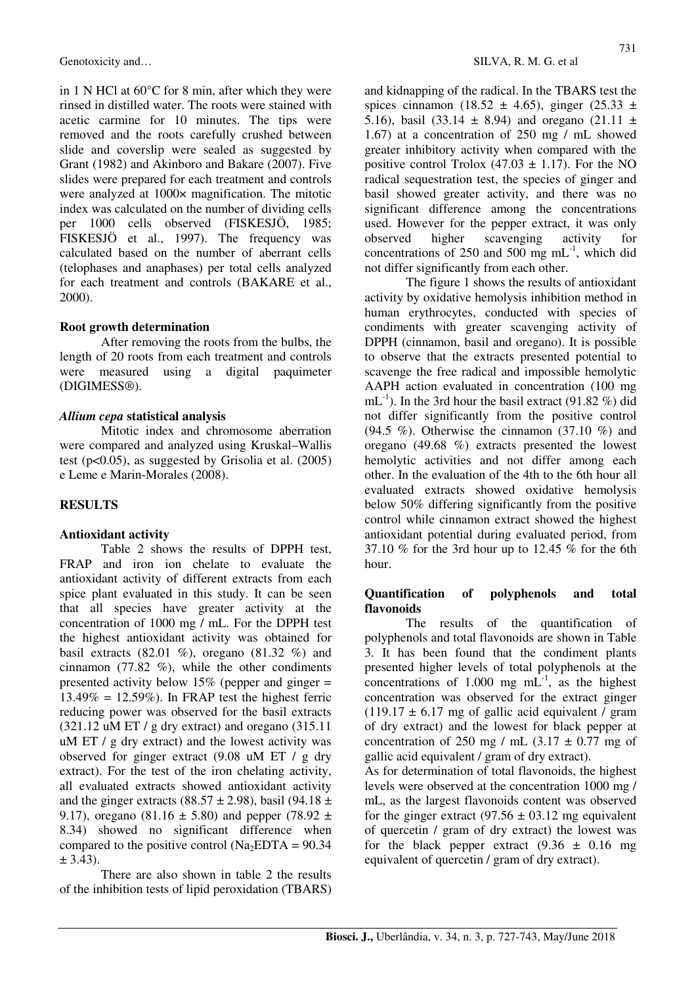in 1 N HCl at 60°C for 8 min, after which they were rinsed in distilled water. The roots were stained with acetic carmine for 10 minutes. The tips were removed and the roots carefully crushed between slide and coverslip were sealed as suggested by Grant (1982) and Akinboro and Bakare (2007). Five slides were prepared for each treatment and controls were analyzed at 1000 $\times$  magnification. The mitotic index was calculated on the number of dividing cells per 1000 cells observed (FISKESJÖ, 1985; FISKESJÖ et al., 1997). The frequency was calculated based on the number of aberrant cells (telophases and anaphases) per total cells analyzed for each treatment and controls (BAKARE et al., 2000).

## **Root growth determination**

After removing the roots from the bulbs, the length of 20 roots from each treatment and controls were measured using a digital paquimeter (DIGIMESS®).

## *Allium cepa* **statistical analysis**

Mitotic index and chromosome aberration were compared and analyzed using Kruskal–Wallis test (p<0.05), as suggested by Grisolia et al. (2005) e Leme e Marin-Morales (2008).

# **RESULTS**

### **Antioxidant activity**

Table 2 shows the results of DPPH test, FRAP and iron ion chelate to evaluate the antioxidant activity of different extracts from each spice plant evaluated in this study. It can be seen that all species have greater activity at the concentration of 1000 mg / mL. For the DPPH test the highest antioxidant activity was obtained for basil extracts  $(82.01\%)$ , oregano  $(81.32\%)$  and cinnamon (77.82 %), while the other condiments presented activity below  $15\%$  (pepper and ginger =  $13.49\% = 12.59\%$ ). In FRAP test the highest ferric reducing power was observed for the basil extracts (321.12 uM ET / g dry extract) and oregano (315.11 uM ET / g dry extract) and the lowest activity was observed for ginger extract (9.08 uM ET / g dry extract). For the test of the iron chelating activity, all evaluated extracts showed antioxidant activity and the ginger extracts (88.57  $\pm$  2.98), basil (94.18  $\pm$ 9.17), oregano (81.16  $\pm$  5.80) and pepper (78.92  $\pm$ 8.34) showed no significant difference when compared to the positive control (Na<sub>2</sub>EDTA =  $90.34$ )  $\pm$  3.43).

There are also shown in table 2 the results of the inhibition tests of lipid peroxidation (TBARS) and kidnapping of the radical. In the TBARS test the spices cinnamon (18.52  $\pm$  4.65), ginger (25.33  $\pm$ 5.16), basil (33.14  $\pm$  8.94) and oregano (21.11  $\pm$ 1.67) at a concentration of 250 mg / mL showed greater inhibitory activity when compared with the positive control Trolox (47.03  $\pm$  1.17). For the NO radical sequestration test, the species of ginger and basil showed greater activity, and there was no significant difference among the concentrations used. However for the pepper extract, it was only observed higher scavenging activity for concentrations of 250 and 500 mg  $mL^{-1}$ , which did not differ significantly from each other.

The figure 1 shows the results of antioxidant activity by oxidative hemolysis inhibition method in human erythrocytes, conducted with species of condiments with greater scavenging activity of DPPH (cinnamon, basil and oregano). It is possible to observe that the extracts presented potential to scavenge the free radical and impossible hemolytic AAPH action evaluated in concentration (100 mg mL<sup>-1</sup>). In the 3rd hour the basil extract (91.82 %) did not differ significantly from the positive control (94.5 %). Otherwise the cinnamon  $(37.10 \%)$  and oregano (49.68 %) extracts presented the lowest hemolytic activities and not differ among each other. In the evaluation of the 4th to the 6th hour all evaluated extracts showed oxidative hemolysis below 50% differing significantly from the positive control while cinnamon extract showed the highest antioxidant potential during evaluated period, from 37.10 % for the 3rd hour up to 12.45 % for the 6th hour.

## **Quantification of polyphenols and total flavonoids**

The results of the quantification of polyphenols and total flavonoids are shown in Table 3. It has been found that the condiment plants presented higher levels of total polyphenols at the concentrations of 1.000 mg  $mL^{-1}$ , as the highest concentration was observed for the extract ginger  $(119.17 \pm 6.17 \text{ mg of }$  gallic acid equivalent / gram of dry extract) and the lowest for black pepper at concentration of 250 mg / mL  $(3.17 \pm 0.77$  mg of gallic acid equivalent / gram of dry extract).

As for determination of total flavonoids, the highest levels were observed at the concentration 1000 mg / mL, as the largest flavonoids content was observed for the ginger extract  $(97.56 \pm 03.12 \text{ mg}$  equivalent of quercetin / gram of dry extract) the lowest was for the black pepper extract  $(9.36 \pm 0.16 \text{ mg})$ equivalent of quercetin / gram of dry extract).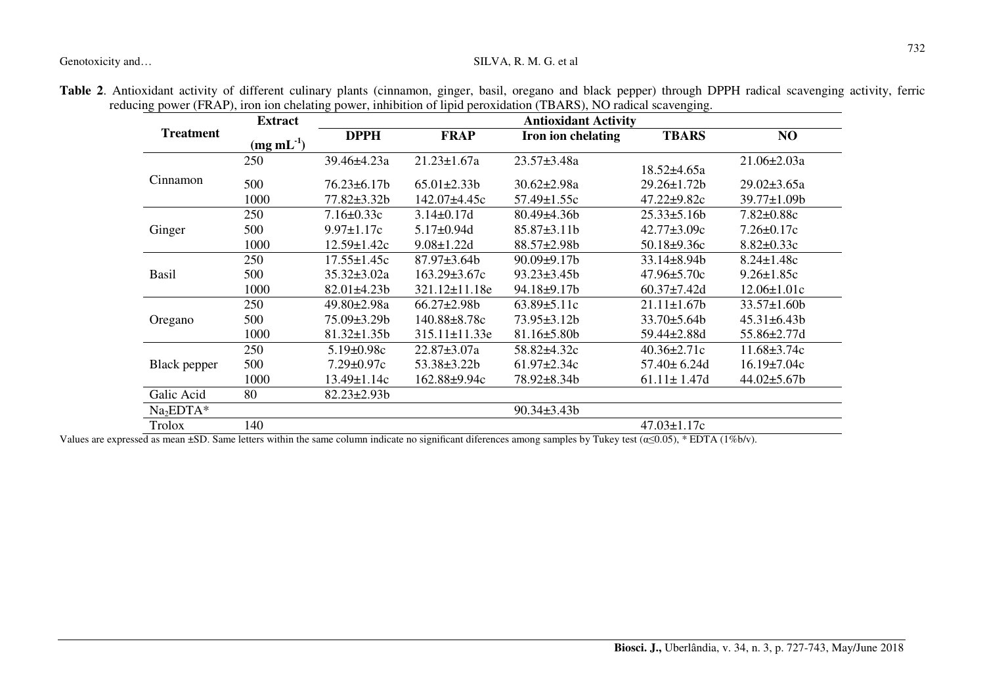### Genotoxicity and... SILVA, R. M. G. et al.

|                  | <b>Extract</b>    |                    | <b>Antioxidant Activity</b> |                    |                    |                   |  |  |  |
|------------------|-------------------|--------------------|-----------------------------|--------------------|--------------------|-------------------|--|--|--|
| <b>Treatment</b> | $(mg \, mL^{-1})$ | <b>DPPH</b>        | <b>FRAP</b>                 | Iron ion chelating | <b>TBARS</b>       | NO                |  |  |  |
|                  | 250               | 39.46±4.23a        | $21.23 \pm 1.67a$           | 23.57±3.48a        | $18.52 \pm 4.65a$  | $21.06 \pm 2.03a$ |  |  |  |
| Cinnamon         | 500               | $76.23 \pm 6.17 b$ | $65.01 \pm 2.33 b$          | $30.62 \pm 2.98a$  | 29.26±1.72b        | $29.02 \pm 3.65a$ |  |  |  |
|                  | 1000              | 77.82±3.32b        | 142.07±4.45c                | 57.49±1.55c        | $47.22 \pm 9.82c$  | 39.77±1.09b       |  |  |  |
|                  | 250               | $7.16 \pm 0.33c$   | $3.14 \pm 0.17d$            | $80.49 \pm 4.36 b$ | $25.33 \pm 5.16b$  | $7.82 \pm 0.88c$  |  |  |  |
| Ginger           | 500               | $9.97 \pm 1.17c$   | $5.17 \pm 0.94$ d           | $85.87 \pm 3.11b$  | $42.77 \pm 3.09c$  | $7.26 \pm 0.17c$  |  |  |  |
|                  | 1000              | $12.59 \pm 1.42c$  | $9.08 \pm 1.22$ d           | $88.57 \pm 2.98b$  | $50.18 \pm 9.36c$  | $8.82 \pm 0.33c$  |  |  |  |
|                  | 250               | $17.55 \pm 1.45c$  | 87.97±3.64b                 | $90.09 \pm 9.17$ b | 33.14±8.94b        | $8.24 \pm 1.48c$  |  |  |  |
| <b>Basil</b>     | 500               | $35.32 \pm 3.02a$  | $163.29 \pm 3.67c$          | $93.23 \pm 3.45b$  | $47.96 \pm 5.70c$  | $9.26 \pm 1.85c$  |  |  |  |
|                  | 1000              | $82.01 \pm 4.23 b$ | $321.12 \pm 11.18$ e        | 94.18±9.17b        | $60.37 \pm 7.42$ d | $12.06 \pm 1.01c$ |  |  |  |
|                  | 250               | 49.80±2.98a        | $66.27 \pm 2.98b$           | $63.89 \pm 5.11c$  | $21.11 \pm 1.67$   | $33.57 \pm 1.60$  |  |  |  |
| Oregano          | 500               | 75.09±3.29b        | 140.88±8.78c                | $73.95 \pm 3.12b$  | $33.70 \pm 5.64 b$ | $45.31 \pm 6.43b$ |  |  |  |
|                  | 1000              | $81.32 \pm 1.35b$  | 315.11±11.33e               | $81.16 \pm 5.80b$  | 59.44±2.88d        | 55.86±2.77d       |  |  |  |
|                  | 250               | $5.19 \pm 0.98c$   | $22.87 \pm 3.07a$           | 58.82±4.32c        | $40.36 \pm 2.71c$  | $11.68 \pm 3.74c$ |  |  |  |
| Black pepper     | 500               | $7.29 \pm 0.97c$   | 53.38±3.22b                 | $61.97 \pm 2.34c$  | $57.40 \pm 6.24$ d | $16.19 \pm 7.04c$ |  |  |  |
|                  | 1000              | 13.49±1.14c        | 162.88±9.94c                | 78.92±8.34b        | $61.11 \pm 1.47d$  | $44.02 \pm 5.67$  |  |  |  |
| Galic Acid       | 80                | $82.23 \pm 2.93 b$ |                             |                    |                    |                   |  |  |  |
| $Na2EDTA*$       |                   |                    |                             | $90.34 \pm 3.43 b$ |                    |                   |  |  |  |
| Trolox           | 140               |                    |                             |                    | $47.03 \pm 1.17c$  |                   |  |  |  |

**Table 2**. Antioxidant activity of different culinary plants (cinnamon, ginger, basil, oregano and black pepper) through DPPH radical scavenging activity, ferric reducing power (FRAP), iron ion chelating power, inhibition of lipid peroxidation (TBARS), NO radical scavenging.

Values are expressed as mean ±SD. Same letters within the same column indicate no significant diferences among samples by Tukey test ( $\alpha \le 0.05$ ), \* EDTA (1%b/v).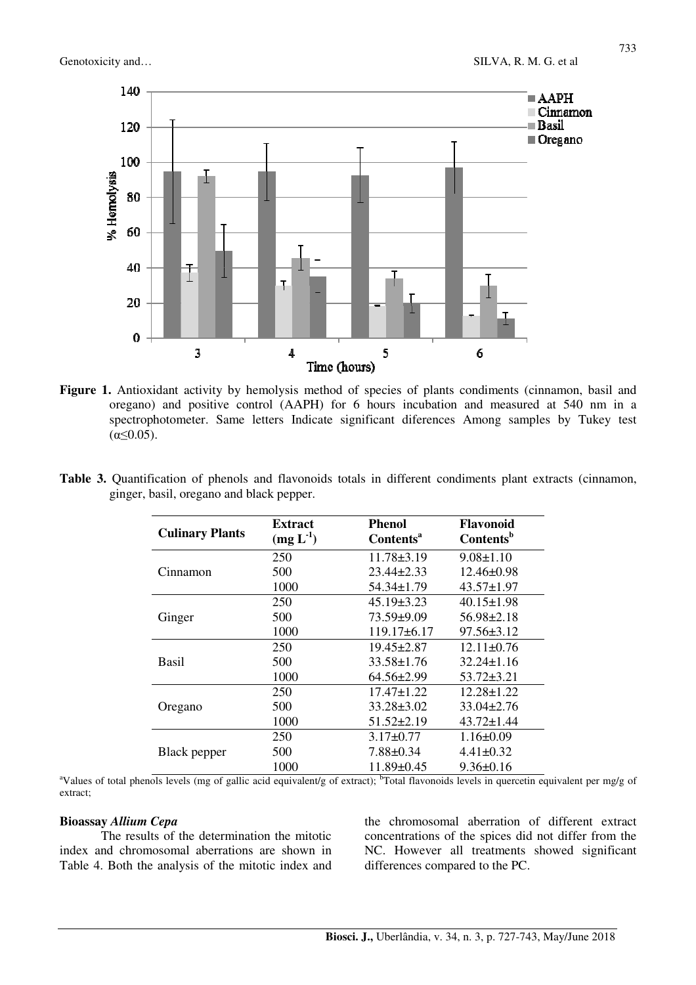

Figure 1. Antioxidant activity by hemolysis method of species of plants condiments (cinnamon, basil and oregano) and positive control (AAPH) for 6 hours incubation and measured at 540 nm in a spectrophotometer. Same letters Indicate significant diferences Among samples by Tukey test  $(α<0.05)$ .

| <b>Culinary Plants</b> | <b>Extract</b><br>$(mg L^{-1})$ | <b>Phenol</b><br>Contents <sup>a</sup> | <b>Flavonoid</b><br><b>Contents</b> <sup>b</sup> |
|------------------------|---------------------------------|----------------------------------------|--------------------------------------------------|
|                        | 250                             | $11.78 \pm 3.19$                       | $9.08 \pm 1.10$                                  |
| Cinnamon               | 500                             | $23.44 \pm 2.33$                       | $12.46 \pm 0.98$                                 |
|                        | 1000                            | $54.34 \pm 1.79$                       | $43.57 \pm 1.97$                                 |

250 45.19±3.23 40.15±1.98 500 73.59±9.09 56.98±2.18 1000 119.17±6.17 97.56±3.12

250 19.45±2.87 12.11±0.76 500 33.58±1.76 32.24±1.16 1000 64.56±2.99 53.72±3.21

250 17.47±1.22 12.28±1.22 500 33.28±3.02 33.04±2.76 1000 51.52±2.19 43.72±1.44

250 3.17±0.77 1.16±0.09 500 7.88±0.34 4.41±0.32 1000 11.89±0.45 9.36±0.16

**Table 3.** Quantification of phenols and flavonoids totals in different condiments plant extracts (cinnamon, ginger, basil, oregano and black pepper.

| aValues of total phenols levels (mg of gallic acid equivalent/g of extract); <sup>b</sup> Total flavonoids levels in quercetin equivalent per mg/g of |  |  |  |  |  |  |
|-------------------------------------------------------------------------------------------------------------------------------------------------------|--|--|--|--|--|--|
| extract:                                                                                                                                              |  |  |  |  |  |  |

## **Bioassay** *Allium Cepa*

The results of the determination the mitotic index and chromosomal aberrations are shown in Table 4. Both the analysis of the mitotic index and

Ginger

Basil

Oregano

Black pepper

the chromosomal aberration of different extract concentrations of the spices did not differ from the NC. However all treatments showed significant differences compared to the PC.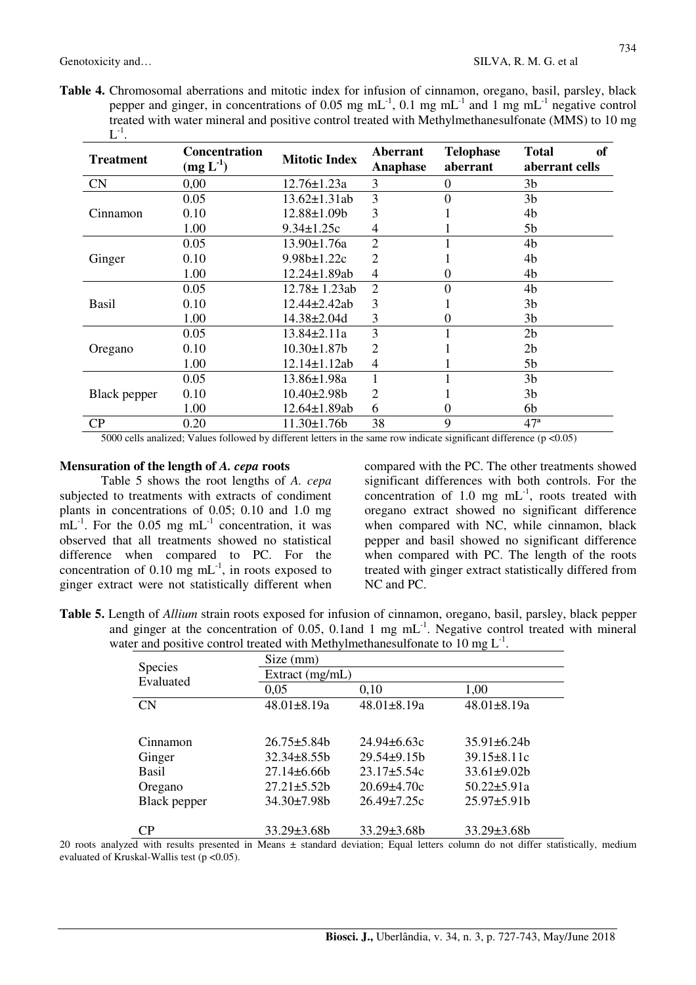734

**Table 4.** Chromosomal aberrations and mitotic index for infusion of cinnamon, oregano, basil, parsley, black pepper and ginger, in concentrations of 0.05 mg mL-1, 0.1 mg mL-1 and 1 mg mL-1 negative control treated with water mineral and positive control treated with Methylmethanesulfonate (MMS) to 10 mg  $\operatorname{L}^{ \text{-}1}$ .

| <b>Treatment</b> | <b>Concentration</b><br>$(mg L-1)$ | <b>Mitotic Index</b> | Aberrant<br><b>Anaphase</b> | <b>Telophase</b><br>aberrant | <sub>of</sub><br><b>Total</b><br>aberrant cells |
|------------------|------------------------------------|----------------------|-----------------------------|------------------------------|-------------------------------------------------|
| <b>CN</b>        | 0,00                               | 12.76±1.23a          | 3                           | 0                            | 3b                                              |
|                  | 0.05                               | $13.62 \pm 1.31$ ab  | 3                           | 0                            | 3 <sub>b</sub>                                  |
| Cinnamon         | 0.10                               | 12.88±1.09b          | 3                           |                              | 4b                                              |
|                  | 1.00                               | $9.34 \pm 1.25c$     | 4                           |                              | 5b                                              |
|                  | 0.05                               | $13.90 \pm 1.76a$    | $\mathfrak{D}$              |                              | 4b                                              |
| Ginger           | 0.10                               | $9.98b \pm 1.22c$    | 2                           |                              | 4b                                              |
|                  | 1.00                               | 12.24±1.89ab         | 4                           | 0                            | 4b                                              |
|                  | 0.05                               | 12.78± 1.23ab        | $\overline{2}$              | 0                            | 4b                                              |
| <b>Basil</b>     | 0.10                               | 12.44±2.42ab         | 3                           |                              | 3b                                              |
|                  | 1.00                               | 14.38±2.04d          | 3                           |                              | 3b                                              |
|                  | 0.05                               | $13.84 \pm 2.11a$    | 3                           |                              | 2 <sub>b</sub>                                  |
| Oregano          | 0.10                               | 10.30±1.87b          | 2                           |                              | 2 <sub>b</sub>                                  |
|                  | 1.00                               | 12.14±1.12ab         | 4                           |                              | 5 <sub>b</sub>                                  |
|                  | 0.05                               | 13.86±1.98a          |                             |                              | 3 <sub>b</sub>                                  |
| Black pepper     | 0.10                               | 10.40±2.98b          | 2                           |                              | 3 <sub>b</sub>                                  |
|                  | 1.00                               | 12.64±1.89ab         | 6                           | 0                            | 6b                                              |
| CP               | 0.20                               | 11.30±1.76b          | 38                          | 9                            | 47 <sup>a</sup>                                 |

5000 cells analized; Values followed by different letters in the same row indicate significant difference ( $p < 0.05$ )

#### **Mensuration of the length of** *A. cepa* **roots**

Table 5 shows the root lengths of *A. cepa* subjected to treatments with extracts of condiment plants in concentrations of 0.05; 0.10 and 1.0 mg  $mL^{-1}$ . For the 0.05 mg  $mL^{-1}$  concentration, it was observed that all treatments showed no statistical difference when compared to PC. For the concentration of  $0.10 \text{ mg} \text{ mL}^{-1}$ , in roots exposed to ginger extract were not statistically different when compared with the PC. The other treatments showed significant differences with both controls. For the concentration of 1.0 mg  $mL^{-1}$ , roots treated with oregano extract showed no significant difference when compared with NC, while cinnamon, black pepper and basil showed no significant difference when compared with PC. The length of the roots treated with ginger extract statistically differed from NC and PC.

**Table 5.** Length of *Allium* strain roots exposed for infusion of cinnamon, oregano, basil, parsley, black pepper and ginger at the concentration of 0.05, 0.1and 1 mg  $mL^{-1}$ . Negative control treated with mineral water and positive control treated with Methylmethanesulfonate to 10 mg  $L^{-1}$ .

|                      | Size (mm)          |                   |                    |  |  |  |  |  |
|----------------------|--------------------|-------------------|--------------------|--|--|--|--|--|
| Species<br>Evaluated | Extract (mg/mL)    |                   |                    |  |  |  |  |  |
|                      | 0,05               | 0,10              | 1,00               |  |  |  |  |  |
| CN                   | $48.01 \pm 8.19a$  | 48.01±8.19a       | $48.01 \pm 8.19a$  |  |  |  |  |  |
|                      |                    |                   |                    |  |  |  |  |  |
| Cinnamon             | $26.75 \pm 5.84b$  | $24.94\pm 6.63c$  | $35.91 \pm 6.24b$  |  |  |  |  |  |
| Ginger               | $32.34 \pm 8.55$   | 29.54±9.15b       | $39.15 \pm 8.11c$  |  |  |  |  |  |
| Basil                | $27.14\pm 6.66b$   | $23.17 \pm 5.54c$ | $33.61 \pm 9.02b$  |  |  |  |  |  |
| Oregano              | $27.21 \pm 5.52b$  | $20.69 \pm 4.70c$ | $50.22 \pm 5.91a$  |  |  |  |  |  |
| Black pepper         | 34.30±7.98b        | $26.49 \pm 7.25c$ | $25.97 \pm 5.91b$  |  |  |  |  |  |
|                      |                    |                   |                    |  |  |  |  |  |
|                      | $33.29 \pm 3.68 b$ | 33.29±3.68b       | $33.29 \pm 3.68 b$ |  |  |  |  |  |

20 roots analyzed with results presented in Means  $\pm$  standard deviation; Equal letters column do not differ statistically, medium evaluated of Kruskal-Wallis test ( $p < 0.05$ ).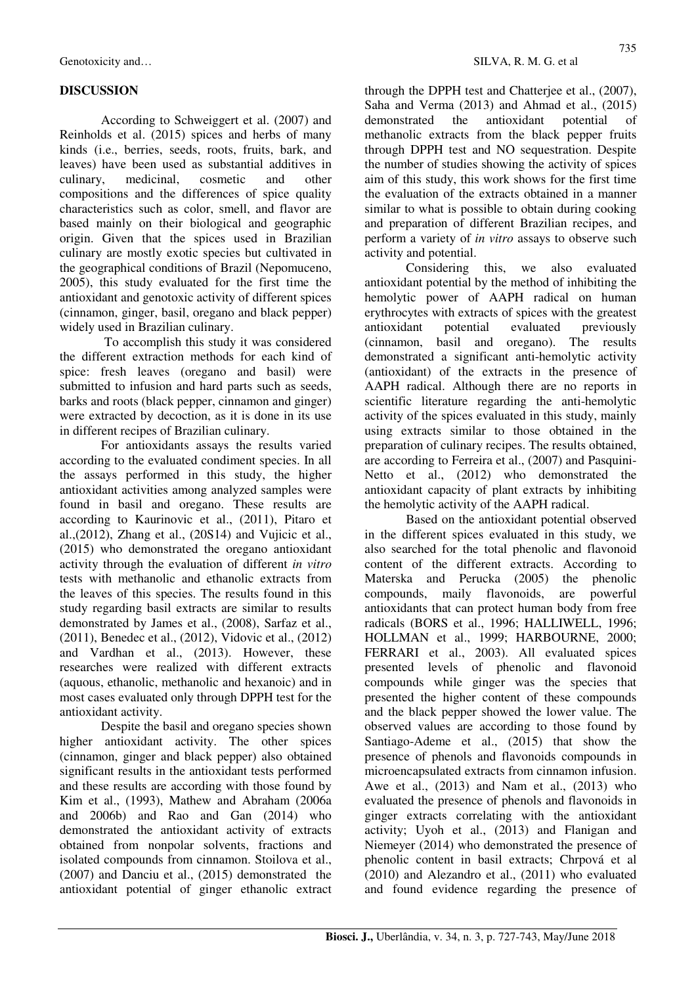# **DISCUSSION**

According to Schweiggert et al. (2007) and Reinholds et al. (2015) spices and herbs of many kinds (i.e., berries, seeds, roots, fruits, bark, and leaves) have been used as substantial additives in culinary, medicinal, cosmetic and other compositions and the differences of spice quality characteristics such as color, smell, and flavor are based mainly on their biological and geographic origin. Given that the spices used in Brazilian culinary are mostly exotic species but cultivated in the geographical conditions of Brazil (Nepomuceno, 2005), this study evaluated for the first time the antioxidant and genotoxic activity of different spices (cinnamon, ginger, basil, oregano and black pepper) widely used in Brazilian culinary.

 To accomplish this study it was considered the different extraction methods for each kind of spice: fresh leaves (oregano and basil) were submitted to infusion and hard parts such as seeds, barks and roots (black pepper, cinnamon and ginger) were extracted by decoction, as it is done in its use in different recipes of Brazilian culinary.

For antioxidants assays the results varied according to the evaluated condiment species. In all the assays performed in this study, the higher antioxidant activities among analyzed samples were found in basil and oregano. These results are according to Kaurinovic et al., (2011), Pitaro et al.,(2012), Zhang et al., (20S14) and Vujicic et al., (2015) who demonstrated the oregano antioxidant activity through the evaluation of different *in vitro* tests with methanolic and ethanolic extracts from the leaves of this species. The results found in this study regarding basil extracts are similar to results demonstrated by James et al., (2008), Sarfaz et al., (2011), Benedec et al., (2012), Vidovic et al., (2012) and Vardhan et al., (2013). However, these researches were realized with different extracts (aquous, ethanolic, methanolic and hexanoic) and in most cases evaluated only through DPPH test for the antioxidant activity.

Despite the basil and oregano species shown higher antioxidant activity. The other spices (cinnamon, ginger and black pepper) also obtained significant results in the antioxidant tests performed and these results are according with those found by Kim et al., (1993), Mathew and Abraham (2006a and 2006b) and Rao and Gan (2014) who demonstrated the antioxidant activity of extracts obtained from nonpolar solvents, fractions and isolated compounds from cinnamon. Stoilova et al., (2007) and Danciu et al., (2015) demonstrated the antioxidant potential of ginger ethanolic extract

through the DPPH test and Chatterjee et al., (2007), Saha and Verma (2013) and Ahmad et al., (2015) demonstrated the antioxidant potential of methanolic extracts from the black pepper fruits through DPPH test and NO sequestration. Despite the number of studies showing the activity of spices aim of this study, this work shows for the first time the evaluation of the extracts obtained in a manner similar to what is possible to obtain during cooking and preparation of different Brazilian recipes, and perform a variety of *in vitro* assays to observe such activity and potential.

Considering this, we also evaluated antioxidant potential by the method of inhibiting the hemolytic power of AAPH radical on human erythrocytes with extracts of spices with the greatest antioxidant potential evaluated previously (cinnamon, basil and oregano). The results demonstrated a significant anti-hemolytic activity (antioxidant) of the extracts in the presence of AAPH radical. Although there are no reports in scientific literature regarding the anti-hemolytic activity of the spices evaluated in this study, mainly using extracts similar to those obtained in the preparation of culinary recipes. The results obtained, are according to Ferreira et al., (2007) and Pasquini-Netto et al., (2012) who demonstrated the antioxidant capacity of plant extracts by inhibiting the hemolytic activity of the AAPH radical.

Based on the antioxidant potential observed in the different spices evaluated in this study, we also searched for the total phenolic and flavonoid content of the different extracts. According to Materska and Perucka (2005) the phenolic compounds, maily flavonoids, are powerful antioxidants that can protect human body from free radicals (BORS et al., 1996; HALLIWELL, 1996; HOLLMAN et al., 1999; HARBOURNE, 2000; FERRARI et al., 2003). All evaluated spices presented levels of phenolic and flavonoid compounds while ginger was the species that presented the higher content of these compounds and the black pepper showed the lower value. The observed values are according to those found by Santiago-Ademe et al., (2015) that show the presence of phenols and flavonoids compounds in microencapsulated extracts from cinnamon infusion. Awe et al., (2013) and Nam et al., (2013) who evaluated the presence of phenols and flavonoids in ginger extracts correlating with the antioxidant activity; Uyoh et al., (2013) and Flanigan and Niemeyer (2014) who demonstrated the presence of phenolic content in basil extracts; Chrpová et al (2010) and Alezandro et al., (2011) who evaluated and found evidence regarding the presence of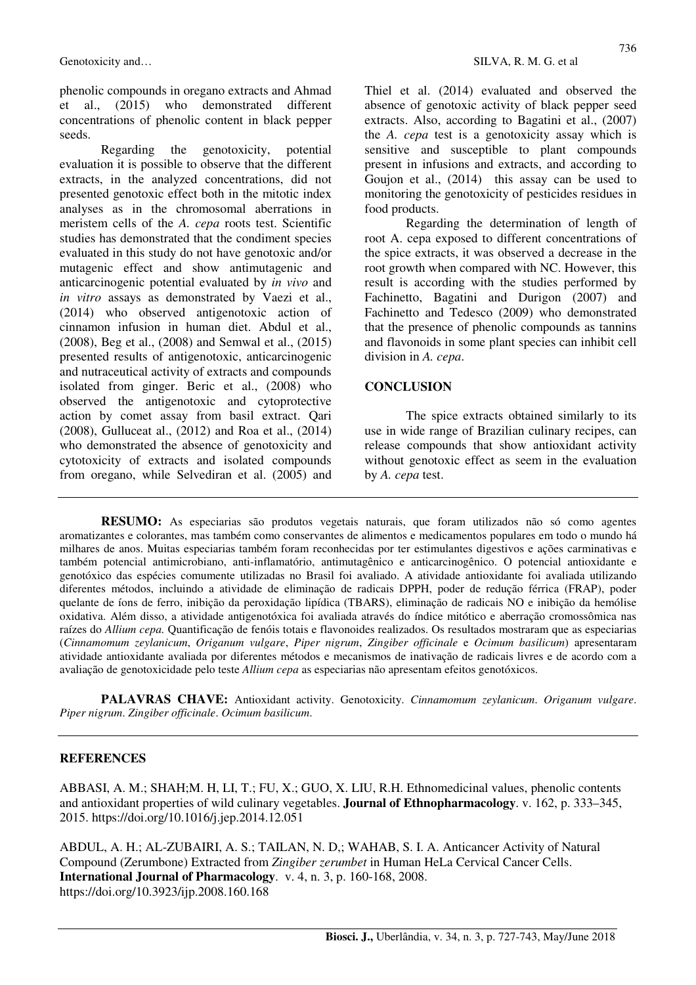phenolic compounds in oregano extracts and Ahmad et al., (2015) who demonstrated different concentrations of phenolic content in black pepper seeds.

Regarding the genotoxicity, potential evaluation it is possible to observe that the different extracts, in the analyzed concentrations, did not presented genotoxic effect both in the mitotic index analyses as in the chromosomal aberrations in meristem cells of the *A. cepa* roots test. Scientific studies has demonstrated that the condiment species evaluated in this study do not have genotoxic and/or mutagenic effect and show antimutagenic and anticarcinogenic potential evaluated by *in vivo* and *in vitro* assays as demonstrated by Vaezi et al., (2014) who observed antigenotoxic action of cinnamon infusion in human diet. Abdul et al., (2008), Beg et al., (2008) and Semwal et al., (2015) presented results of antigenotoxic, anticarcinogenic and nutraceutical activity of extracts and compounds isolated from ginger. Beric et al., (2008) who observed the antigenotoxic and cytoprotective action by comet assay from basil extract. Qari (2008), Gulluceat al., (2012) and Roa et al., (2014) who demonstrated the absence of genotoxicity and cytotoxicity of extracts and isolated compounds from oregano, while Selvediran et al. (2005) and Thiel et al. (2014) evaluated and observed the absence of genotoxic activity of black pepper seed extracts. Also, according to Bagatini et al., (2007) the *A. cepa* test is a genotoxicity assay which is sensitive and susceptible to plant compounds present in infusions and extracts, and according to Goujon et al., (2014) this assay can be used to monitoring the genotoxicity of pesticides residues in food products.

Regarding the determination of length of root A. cepa exposed to different concentrations of the spice extracts, it was observed a decrease in the root growth when compared with NC. However, this result is according with the studies performed by Fachinetto, Bagatini and Durigon (2007) and Fachinetto and Tedesco (2009) who demonstrated that the presence of phenolic compounds as tannins and flavonoids in some plant species can inhibit cell division in *A. cepa*.

## **CONCLUSION**

The spice extracts obtained similarly to its use in wide range of Brazilian culinary recipes, can release compounds that show antioxidant activity without genotoxic effect as seem in the evaluation by *A. cepa* test.

**RESUMO:** As especiarias são produtos vegetais naturais, que foram utilizados não só como agentes aromatizantes e colorantes, mas também como conservantes de alimentos e medicamentos populares em todo o mundo há milhares de anos. Muitas especiarias também foram reconhecidas por ter estimulantes digestivos e ações carminativas e também potencial antimicrobiano, anti-inflamatório, antimutagênico e anticarcinogênico. O potencial antioxidante e genotóxico das espécies comumente utilizadas no Brasil foi avaliado. A atividade antioxidante foi avaliada utilizando diferentes métodos, incluindo a atividade de eliminação de radicais DPPH, poder de redução férrica (FRAP), poder quelante de íons de ferro, inibição da peroxidação lipídica (TBARS), eliminação de radicais NO e inibição da hemólise oxidativa. Além disso, a atividade antigenotóxica foi avaliada através do índice mitótico e aberração cromossômica nas raízes do *Allium cepa.* Quantificação de fenóis totais e flavonoides realizados. Os resultados mostraram que as especiarias (*Cinnamomum zeylanicum*, *Origanum vulgare*, *Piper nigrum*, *Zingiber officinale* e *Ocimum basilicum*) apresentaram atividade antioxidante avaliada por diferentes métodos e mecanismos de inativação de radicais livres e de acordo com a avaliação de genotoxicidade pelo teste *Allium cepa* as especiarias não apresentam efeitos genotóxicos.

**PALAVRAS CHAVE:** Antioxidant activity. Genotoxicity. *Cinnamomum zeylanicum*. *Origanum vulgare*. *Piper nigrum*. *Zingiber officinale*. *Ocimum basilicum*.

# **REFERENCES**

ABBASI, A. M.; SHAH;M. H, LI, T.; FU, X.; GUO, X. LIU, R.H. Ethnomedicinal values, phenolic contents and antioxidant properties of wild culinary vegetables. **Journal of Ethnopharmacology**. v. 162, p. 333–345, 2015. https://doi.org/10.1016/j.jep.2014.12.051

ABDUL, A. H.; AL-ZUBAIRI, A. S.; TAILAN, N. D,; WAHAB, S. I. A. Anticancer Activity of Natural Compound (Zerumbone) Extracted from *Zingiber zerumbet* in Human HeLa Cervical Cancer Cells. **International Journal of Pharmacology**. v. 4, n. 3, p. 160-168, 2008. https://doi.org/10.3923/ijp.2008.160.168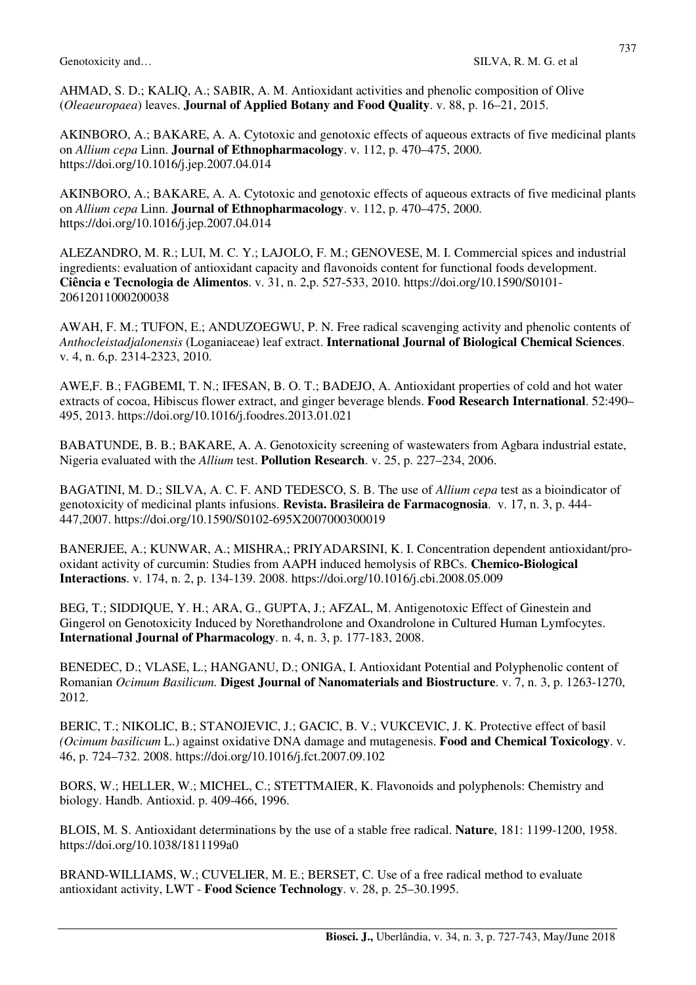AHMAD, S. D.; KALIQ, A.; SABIR, A. M. Antioxidant activities and phenolic composition of Olive (*Oleaeuropaea*) leaves. **Journal of Applied Botany and Food Quality**. v. 88, p. 16–21, 2015.

AKINBORO, A.; BAKARE, A. A. Cytotoxic and genotoxic effects of aqueous extracts of five medicinal plants on *Allium cepa* Linn. **Journal of Ethnopharmacology**. v. 112, p. 470–475, 2000. https://doi.org/10.1016/j.jep.2007.04.014

AKINBORO, A.; BAKARE, A. A. Cytotoxic and genotoxic effects of aqueous extracts of five medicinal plants on *Allium cepa* Linn. **Journal of Ethnopharmacology**. v. 112, p. 470–475, 2000. https://doi.org/10.1016/j.jep.2007.04.014

ALEZANDRO, M. R.; LUI, M. C. Y.; LAJOLO, F. M.; GENOVESE, M. I. Commercial spices and industrial ingredients: evaluation of antioxidant capacity and flavonoids content for functional foods development. **Ciência e Tecnologia de Alimentos**. v. 31, n. 2,p. 527-533, 2010. https://doi.org/10.1590/S0101- 20612011000200038

AWAH, F. M.; TUFON, E.; ANDUZOEGWU, P. N. Free radical scavenging activity and phenolic contents of *Anthocleistadjalonensis* (Loganiaceae) leaf extract. **International Journal of Biological Chemical Sciences**. v. 4, n. 6,p. 2314-2323, 2010.

AWE,F. B.; FAGBEMI, T. N.; IFESAN, B. O. T.; BADEJO, A. Antioxidant properties of cold and hot water extracts of cocoa, Hibiscus flower extract, and ginger beverage blends. **Food Research International**. 52:490– 495, 2013. https://doi.org/10.1016/j.foodres.2013.01.021

BABATUNDE, B. B.; BAKARE, A. A. Genotoxicity screening of wastewaters from Agbara industrial estate, Nigeria evaluated with the *Allium* test. **Pollution Research**. v. 25, p. 227–234, 2006.

BAGATINI, M. D.; SILVA, A. C. F. AND TEDESCO, S. B. The use of *Allium cepa* test as a bioindicator of genotoxicity of medicinal plants infusions. **Revista. Brasileira de Farmacognosia**. v. 17, n. 3, p. 444- 447,2007. https://doi.org/10.1590/S0102-695X2007000300019

BANERJEE, A.; KUNWAR, A.; MISHRA,; PRIYADARSINI, K. I. Concentration dependent antioxidant/prooxidant activity of curcumin: Studies from AAPH induced hemolysis of RBCs. **Chemico-Biological Interactions**. v. 174, n. 2, p. 134-139. 2008. https://doi.org/10.1016/j.cbi.2008.05.009

BEG, T.; SIDDIQUE, Y. H.; ARA, G., GUPTA, J.; AFZAL, M. Antigenotoxic Effect of Ginestein and Gingerol on Genotoxicity Induced by Norethandrolone and Oxandrolone in Cultured Human Lymfocytes. **International Journal of Pharmacology**. n. 4, n. 3, p. 177-183, 2008.

BENEDEC, D.; VLASE, L.; HANGANU, D.; ONIGA, I. Antioxidant Potential and Polyphenolic content of Romanian *Ocimum Basilicum.* **Digest Journal of Nanomaterials and Biostructure**. v. 7, n. 3, p. 1263-1270, 2012.

BERIC, T.; NIKOLIC, B.; STANOJEVIC, J.; GACIC, B. V.; VUKCEVIC, J. K. Protective effect of basil *(Ocimum basilicum* L.) against oxidative DNA damage and mutagenesis. **Food and Chemical Toxicology**. v. 46, p. 724–732. 2008. https://doi.org/10.1016/j.fct.2007.09.102

BORS, W.; HELLER, W.; MICHEL, C.; STETTMAIER, K. Flavonoids and polyphenols: Chemistry and biology. Handb. Antioxid. p. 409-466, 1996.

BLOIS, M. S. Antioxidant determinations by the use of a stable free radical. **Nature**, 181: 1199-1200, 1958. https://doi.org/10.1038/1811199a0

BRAND-WILLIAMS, W.; CUVELIER, M. E.; BERSET, C. Use of a free radical method to evaluate antioxidant activity, LWT - **Food Science Technology**. v. 28, p. 25–30.1995.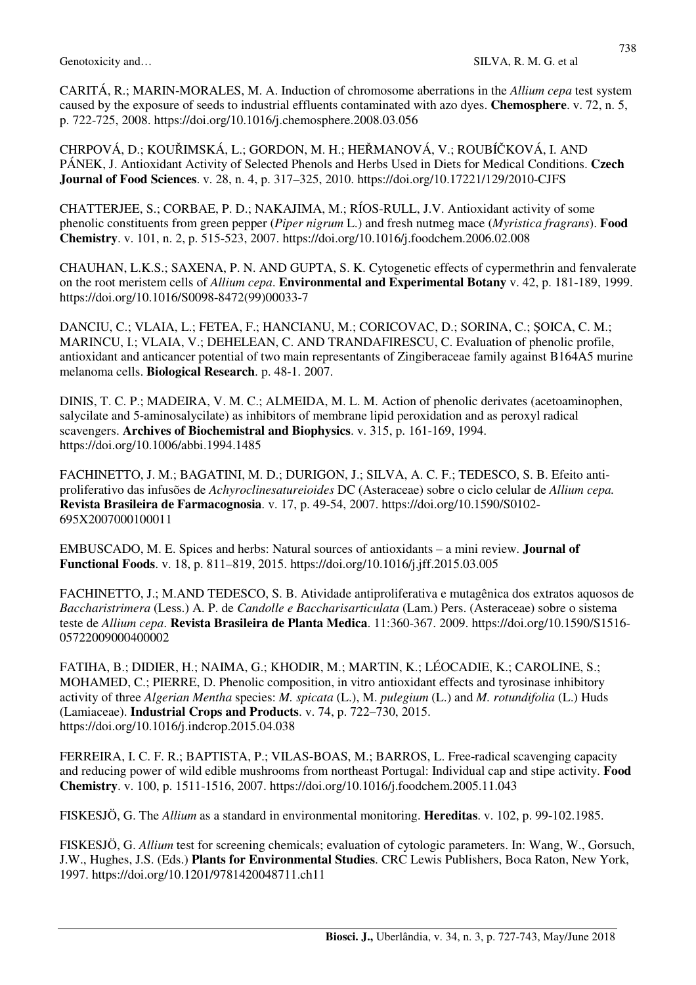CARITÁ, R.; MARIN-MORALES, M. A. Induction of chromosome aberrations in the *Allium cepa* test system caused by the exposure of seeds to industrial effluents contaminated with azo dyes. **Chemosphere**. v. 72, n. 5, p. 722-725, 2008. https://doi.org/10.1016/j.chemosphere.2008.03.056

CHRPOVÁ, D.; KOUŘIMSKÁ, L.; GORDON, M. H.; HEŘMANOVÁ, V.; ROUBÍČKOVÁ, I. AND PÁNEK, J. Antioxidant Activity of Selected Phenols and Herbs Used in Diets for Medical Conditions. **Czech Journal of Food Sciences**. v. 28, n. 4, p. 317–325, 2010. https://doi.org/10.17221/129/2010-CJFS

CHATTERJEE, S.; CORBAE, P. D.; NAKAJIMA, M.; RÍOS-RULL, J.V. Antioxidant activity of some phenolic constituents from green pepper (*Piper nigrum* L.) and fresh nutmeg mace (*Myristica fragrans*). **Food Chemistry**. v. 101, n. 2, p. 515-523, 2007. https://doi.org/10.1016/j.foodchem.2006.02.008

CHAUHAN, L.K.S.; SAXENA, P. N. AND GUPTA, S. K. Cytogenetic effects of cypermethrin and fenvalerate on the root meristem cells of *Allium cepa*. **Environmental and Experimental Botany** v. 42, p. 181-189, 1999. https://doi.org/10.1016/S0098-8472(99)00033-7

DANCIU, C.; VLAIA, L.; FETEA, F.; HANCIANU, M.; CORICOVAC, D.; SORINA, C.; ŞOICA, C. M.; MARINCU, I.; VLAIA, V.; DEHELEAN, C. AND TRANDAFIRESCU, C. Evaluation of phenolic profile, antioxidant and anticancer potential of two main representants of Zingiberaceae family against B164A5 murine melanoma cells. **Biological Research**. p. 48-1. 2007.

DINIS, T. C. P.; MADEIRA, V. M. C.; ALMEIDA, M. L. M. Action of phenolic derivates (acetoaminophen, salycilate and 5-aminosalycilate) as inhibitors of membrane lipid peroxidation and as peroxyl radical scavengers. **Archives of Biochemistral and Biophysics**. v. 315, p. 161-169, 1994. https://doi.org/10.1006/abbi.1994.1485

FACHINETTO, J. M.; BAGATINI, M. D.; DURIGON, J.; SILVA, A. C. F.; TEDESCO, S. B. Efeito antiproliferativo das infusões de *Achyroclinesatureioides* DC (Asteraceae) sobre o ciclo celular de *Allium cepa.*  **Revista Brasileira de Farmacognosia**. v. 17, p. 49-54, 2007. https://doi.org/10.1590/S0102- 695X2007000100011

EMBUSCADO, M. E. Spices and herbs: Natural sources of antioxidants – a mini review. **Journal of Functional Foods**. v. 18, p. 811–819, 2015. https://doi.org/10.1016/j.jff.2015.03.005

FACHINETTO, J.; M.AND TEDESCO, S. B. Atividade antiproliferativa e mutagênica dos extratos aquosos de *Baccharistrimera* (Less.) A. P. de *Candolle e Baccharisarticulata* (Lam.) Pers. (Asteraceae) sobre o sistema teste de *Allium cepa*. **Revista Brasileira de Planta Medica**. 11:360-367. 2009. https://doi.org/10.1590/S1516- 05722009000400002

FATIHA, B.; DIDIER, H.; NAIMA, G.; KHODIR, M.; MARTIN, K.; LÉOCADIE, K.; CAROLINE, S.; MOHAMED, C.; PIERRE, D. Phenolic composition, in vitro antioxidant effects and tyrosinase inhibitory activity of three *Algerian Mentha* species: *M. spicata* (L.), M. *pulegium* (L.) and *M. rotundifolia* (L.) Huds (Lamiaceae). **Industrial Crops and Products**. v. 74, p. 722–730, 2015. https://doi.org/10.1016/j.indcrop.2015.04.038

FERREIRA, I. C. F. R.; BAPTISTA, P.; VILAS-BOAS, M.; BARROS, L. Free-radical scavenging capacity and reducing power of wild edible mushrooms from northeast Portugal: Individual cap and stipe activity. **Food Chemistry**. v. 100, p. 1511-1516, 2007. https://doi.org/10.1016/j.foodchem.2005.11.043

FISKESJÖ, G. The *Allium* as a standard in environmental monitoring. **Hereditas**. v. 102, p. 99-102.1985.

FISKESJÖ, G. *Allium* test for screening chemicals; evaluation of cytologic parameters. In: Wang, W., Gorsuch, J.W., Hughes, J.S. (Eds.) **Plants for Environmental Studies**. CRC Lewis Publishers, Boca Raton, New York, 1997. https://doi.org/10.1201/9781420048711.ch11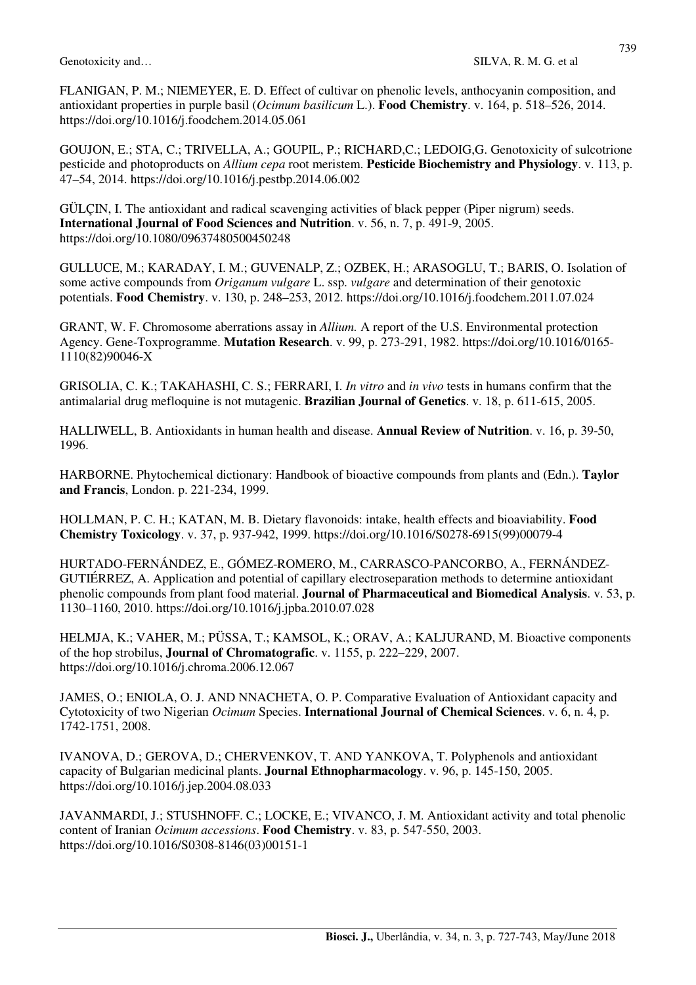FLANIGAN, P. M.; NIEMEYER, E. D. Effect of cultivar on phenolic levels, anthocyanin composition, and antioxidant properties in purple basil (*Ocimum basilicum* L.). **Food Chemistry**. v. 164, p. 518–526, 2014. https://doi.org/10.1016/j.foodchem.2014.05.061

GOUJON, E.; STA, C.; TRIVELLA, A.; GOUPIL, P.; RICHARD,C.; LEDOIG,G. Genotoxicity of sulcotrione pesticide and photoproducts on *Allium cepa* root meristem. **Pesticide Biochemistry and Physiology**. v. 113, p. 47–54, 2014. https://doi.org/10.1016/j.pestbp.2014.06.002

GÜLÇIN, I. The antioxidant and radical scavenging activities of black pepper (Piper nigrum) seeds. **International Journal of Food Sciences and Nutrition**. v. 56, n. 7, p. 491-9, 2005. https://doi.org/10.1080/09637480500450248

GULLUCE, M.; KARADAY, I. M.; GUVENALP, Z.; OZBEK, H.; ARASOGLU, T.; BARIS, O. Isolation of some active compounds from *Origanum vulgare* L. ssp. *vulgare* and determination of their genotoxic potentials. **Food Chemistry**. v. 130, p. 248–253, 2012. https://doi.org/10.1016/j.foodchem.2011.07.024

GRANT, W. F. Chromosome aberrations assay in *Allium.* A report of the U.S. Environmental protection Agency. Gene-Toxprogramme. **Mutation Research**. v. 99, p. 273-291, 1982. https://doi.org/10.1016/0165- 1110(82)90046-X

GRISOLIA, C. K.; TAKAHASHI, C. S.; FERRARI, I. *In vitro* and *in vivo* tests in humans confirm that the antimalarial drug mefloquine is not mutagenic. **Brazilian Journal of Genetics**. v. 18, p. 611-615, 2005.

HALLIWELL, B. Antioxidants in human health and disease. **Annual Review of Nutrition**. v. 16, p. 39-50, 1996.

HARBORNE. Phytochemical dictionary: Handbook of bioactive compounds from plants and (Edn.). **Taylor and Francis**, London. p. 221-234, 1999.

HOLLMAN, P. C. H.; KATAN, M. B. Dietary flavonoids: intake, health effects and bioaviability. **Food Chemistry Toxicology**. v. 37, p. 937-942, 1999. https://doi.org/10.1016/S0278-6915(99)00079-4

HURTADO-FERNÁNDEZ, E., GÓMEZ-ROMERO, M., CARRASCO-PANCORBO, A., FERNÁNDEZ-GUTIÉRREZ, A. Application and potential of capillary electroseparation methods to determine antioxidant phenolic compounds from plant food material. **Journal of Pharmaceutical and Biomedical Analysis**. v. 53, p. 1130–1160, 2010. https://doi.org/10.1016/j.jpba.2010.07.028

HELMJA, K.; VAHER, M.; PÜSSA, T.; KAMSOL, K.; ORAV, A.; KALJURAND, M. Bioactive components of the hop strobilus, **Journal of Chromatografic**. v. 1155, p. 222–229, 2007. https://doi.org/10.1016/j.chroma.2006.12.067

JAMES, O.; ENIOLA, O. J. AND NNACHETA, O. P. Comparative Evaluation of Antioxidant capacity and Cytotoxicity of two Nigerian *Ocimum* Species. **International Journal of Chemical Sciences**. v. 6, n. 4, p. 1742-1751, 2008.

IVANOVA, D.; GEROVA, D.; CHERVENKOV, T. AND YANKOVA, T. Polyphenols and antioxidant capacity of Bulgarian medicinal plants. **Journal Ethnopharmacology**. v. 96, p. 145-150, 2005. https://doi.org/10.1016/j.jep.2004.08.033

JAVANMARDI, J.; STUSHNOFF. C.; LOCKE, E.; VIVANCO, J. M. Antioxidant activity and total phenolic content of Iranian *Ocimum accessions*. **Food Chemistry**. v. 83, p. 547-550, 2003. https://doi.org/10.1016/S0308-8146(03)00151-1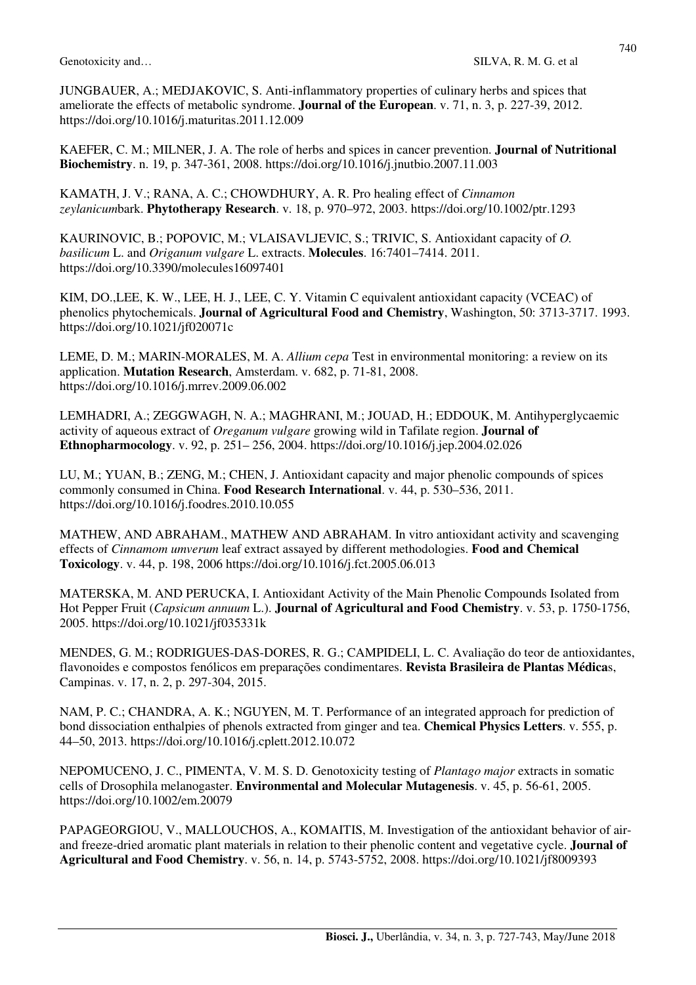JUNGBAUER, A.; MEDJAKOVIC, S. Anti-inflammatory properties of culinary herbs and spices that ameliorate the effects of metabolic syndrome. **Journal of the European**. v. 71, n. 3, p. 227-39, 2012. https://doi.org/10.1016/j.maturitas.2011.12.009

KAEFER, C. M.; MILNER, J. A. The role of herbs and spices in cancer prevention. **Journal of Nutritional Biochemistry**. n. 19, p. 347-361, 2008. https://doi.org/10.1016/j.jnutbio.2007.11.003

KAMATH, J. V.; RANA, A. C.; CHOWDHURY, A. R. Pro healing effect of *Cinnamon zeylanicum*bark. **Phytotherapy Research**. v. 18, p. 970–972, 2003. https://doi.org/10.1002/ptr.1293

KAURINOVIC, B.; POPOVIC, M.; VLAISAVLJEVIC, S.; TRIVIC, S. Antioxidant capacity of *O. basilicum* L. and *Origanum vulgare* L. extracts. **Molecules**. 16:7401–7414. 2011. https://doi.org/10.3390/molecules16097401

KIM, DO.,LEE, K. W., LEE, H. J., LEE, C. Y. Vitamin C equivalent antioxidant capacity (VCEAC) of phenolics phytochemicals. **Journal of Agricultural Food and Chemistry**, Washington, 50: 3713-3717. 1993. https://doi.org/10.1021/jf020071c

LEME, D. M.; MARIN-MORALES, M. A. *Allium cepa* Test in environmental monitoring: a review on its application. **Mutation Research**, Amsterdam. v. 682, p. 71-81, 2008. https://doi.org/10.1016/j.mrrev.2009.06.002

LEMHADRI, A.; ZEGGWAGH, N. A.; MAGHRANI, M.; JOUAD, H.; EDDOUK, M. Antihyperglycaemic activity of aqueous extract of *Oreganum vulgare* growing wild in Tafilate region. **Journal of Ethnopharmocology**. v. 92, p. 251– 256, 2004. https://doi.org/10.1016/j.jep.2004.02.026

LU, M.; YUAN, B.; ZENG, M.; CHEN, J. Antioxidant capacity and major phenolic compounds of spices commonly consumed in China. **Food Research International**. v. 44, p. 530–536, 2011. https://doi.org/10.1016/j.foodres.2010.10.055

MATHEW, AND ABRAHAM., MATHEW AND ABRAHAM. In vitro antioxidant activity and scavenging effects of *Cinnamom umverum* leaf extract assayed by different methodologies. **Food and Chemical Toxicology**. v. 44, p. 198, 2006 https://doi.org/10.1016/j.fct.2005.06.013

MATERSKA, M. AND PERUCKA, I. Antioxidant Activity of the Main Phenolic Compounds Isolated from Hot Pepper Fruit (*Capsicum annuum* L.). **Journal of Agricultural and Food Chemistry**. v. 53, p. 1750-1756, 2005. https://doi.org/10.1021/jf035331k

MENDES, G. M.; RODRIGUES-DAS-DORES, R. G.; CAMPIDELI, L. C. Avaliação do teor de antioxidantes, flavonoides e compostos fenólicos em preparações condimentares. **Revista Brasileira de Plantas Médica**s, Campinas. v. 17, n. 2, p. 297-304, 2015.

NAM, P. C.; CHANDRA, A. K.; NGUYEN, M. T. Performance of an integrated approach for prediction of bond dissociation enthalpies of phenols extracted from ginger and tea. **Chemical Physics Letters**. v. 555, p. 44–50, 2013. https://doi.org/10.1016/j.cplett.2012.10.072

NEPOMUCENO, J. C., PIMENTA, V. M. S. D. Genotoxicity testing of *Plantago major* extracts in somatic cells of Drosophila melanogaster. **Environmental and Molecular Mutagenesis**. v. 45, p. 56-61, 2005. https://doi.org/10.1002/em.20079

PAPAGEORGIOU, V., MALLOUCHOS, A., KOMAITIS, M. Investigation of the antioxidant behavior of airand freeze-dried aromatic plant materials in relation to their phenolic content and vegetative cycle. **Journal of Agricultural and Food Chemistry**. v. 56, n. 14, p. 5743-5752, 2008. https://doi.org/10.1021/jf8009393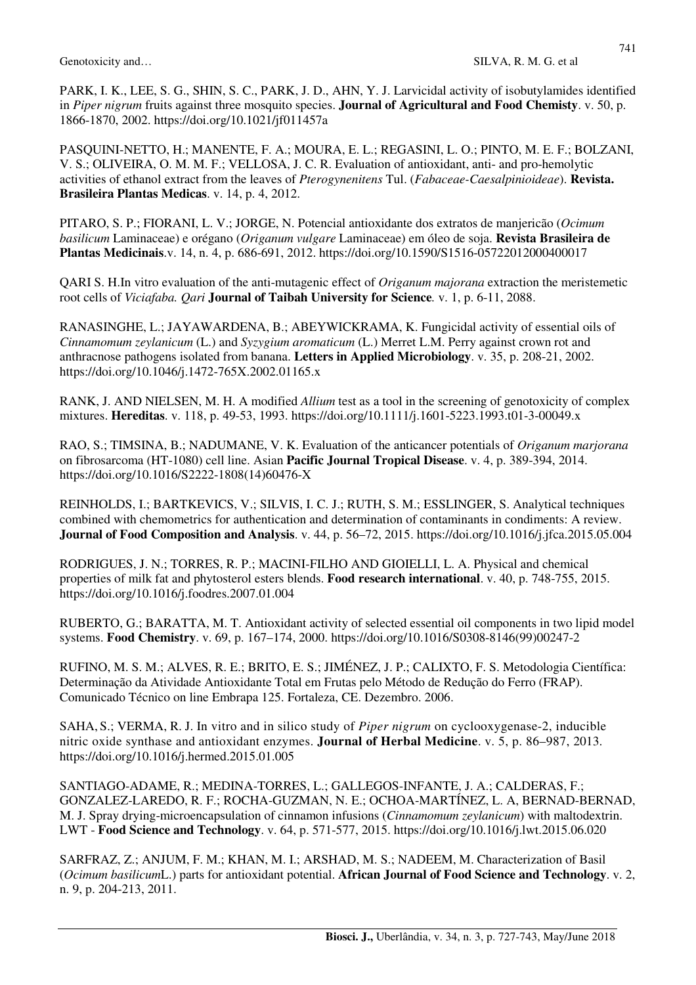741

PARK, I. K., LEE, S. G., SHIN, S. C., PARK, J. D., AHN, Y. J. Larvicidal activity of isobutylamides identified in *Piper nigrum* fruits against three mosquito species. **Journal of Agricultural and Food Chemisty**. v. 50, p. 1866-1870, 2002. https://doi.org/10.1021/jf011457a

PASQUINI-NETTO, H.; MANENTE, F. A.; MOURA, E. L.; REGASINI, L. O.; PINTO, M. E. F.; BOLZANI, V. S.; OLIVEIRA, O. M. M. F.; VELLOSA, J. C. R. Evaluation of antioxidant, anti- and pro-hemolytic activities of ethanol extract from the leaves of *Pterogynenitens* Tul. (*Fabaceae-Caesalpinioideae*). **Revista. Brasileira Plantas Medicas**. v. 14, p. 4, 2012.

PITARO, S. P.; FIORANI, L. V.; JORGE, N. Potencial antioxidante dos extratos de manjericão (*Ocimum basilicum* Laminaceae) e orégano (*Origanum vulgare* Laminaceae) em óleo de soja. **Revista Brasileira de Plantas Medicinais**.v. 14, n. 4, p. 686-691, 2012. https://doi.org/10.1590/S1516-05722012000400017

QARI S. H.In vitro evaluation of the anti-mutagenic effect of *Origanum majorana* extraction the meristemetic root cells of *Viciafaba. Qari* **Journal of Taibah University for Science***.* v. 1, p. 6-11, 2088.

RANASINGHE, L.; JAYAWARDENA, B.; ABEYWICKRAMA, K. Fungicidal activity of essential oils of *Cinnamomum zeylanicum* (L.) and *Syzygium aromaticum* (L.) Merret L.M. Perry against crown rot and anthracnose pathogens isolated from banana. **Letters in Applied Microbiology**. v. 35, p. 208-21, 2002. https://doi.org/10.1046/j.1472-765X.2002.01165.x

RANK, J. AND NIELSEN, M. H. A modified *Allium* test as a tool in the screening of genotoxicity of complex mixtures. **Hereditas**. v. 118, p. 49-53, 1993. https://doi.org/10.1111/j.1601-5223.1993.t01-3-00049.x

RAO, S.; TIMSINA, B.; NADUMANE, V. K. Evaluation of the anticancer potentials of *Origanum marjorana* on fibrosarcoma (HT-1080) cell line. Asian **Pacific Journal Tropical Disease**. v. 4, p. 389-394, 2014. https://doi.org/10.1016/S2222-1808(14)60476-X

REINHOLDS, I.; BARTKEVICS, V.; SILVIS, I. C. J.; RUTH, S. M.; ESSLINGER, S. Analytical techniques combined with chemometrics for authentication and determination of contaminants in condiments: A review. **Journal of Food Composition and Analysis**. v. 44, p. 56–72, 2015. https://doi.org/10.1016/j.jfca.2015.05.004

RODRIGUES, J. N.; TORRES, R. P.; MACINI-FILHO AND GIOIELLI, L. A. Physical and chemical properties of milk fat and phytosterol esters blends. **Food research international**. v. 40, p. 748-755, 2015. https://doi.org/10.1016/j.foodres.2007.01.004

RUBERTO, G.; BARATTA, M. T. Antioxidant activity of selected essential oil components in two lipid model systems. **Food Chemistry**. v. 69, p. 167–174, 2000. https://doi.org/10.1016/S0308-8146(99)00247-2

RUFINO, M. S. M.; ALVES, R. E.; BRITO, E. S.; JIMÉNEZ, J. P.; CALIXTO, F. S. Metodologia Científica: Determinação da Atividade Antioxidante Total em Frutas pelo Método de Redução do Ferro (FRAP). Comunicado Técnico on line Embrapa 125. Fortaleza, CE. Dezembro. 2006.

SAHA, S.; VERMA, R. J. In vitro and in silico study of *Piper nigrum* on cyclooxygenase-2, inducible nitric oxide synthase and antioxidant enzymes. **Journal of Herbal Medicine**. v. 5, p. 86–987, 2013. https://doi.org/10.1016/j.hermed.2015.01.005

SANTIAGO-ADAME, R.; MEDINA-TORRES, L.; GALLEGOS-INFANTE, J. A.; CALDERAS, F.; GONZALEZ-LAREDO, R. F.; ROCHA-GUZMAN, N. E.; OCHOA-MARTÍNEZ, L. A, BERNAD-BERNAD, M. J. Spray drying-microencapsulation of cinnamon infusions (*Cinnamomum zeylanicum*) with maltodextrin. LWT - **Food Science and Technology**. v. 64, p. 571-577, 2015. https://doi.org/10.1016/j.lwt.2015.06.020

SARFRAZ, Z.; ANJUM, F. M.; KHAN, M. I.; ARSHAD, M. S.; NADEEM, M. Characterization of Basil (*Ocimum basilicum*L.) parts for antioxidant potential. **African Journal of Food Science and Technology**. v. 2, n. 9, p. 204-213, 2011.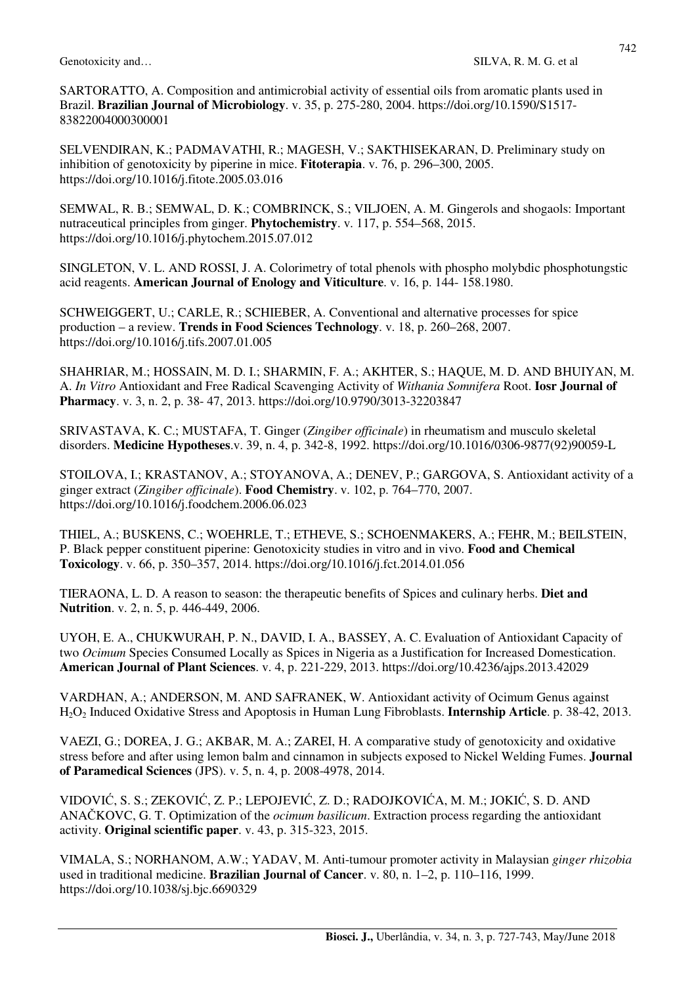SARTORATTO, A. Composition and antimicrobial activity of essential oils from aromatic plants used in Brazil. **Brazilian Journal of Microbiology**. v. 35, p. 275-280, 2004. https://doi.org/10.1590/S1517- 83822004000300001

SELVENDIRAN, K.; PADMAVATHI, R.; MAGESH, V.; SAKTHISEKARAN, D. Preliminary study on inhibition of genotoxicity by piperine in mice. **Fitoterapia**. v. 76, p. 296–300, 2005. https://doi.org/10.1016/j.fitote.2005.03.016

SEMWAL, R. B.; SEMWAL, D. K.; COMBRINCK, S.; VILJOEN, A. M. Gingerols and shogaols: Important nutraceutical principles from ginger. **Phytochemistry**. v. 117, p. 554–568, 2015. https://doi.org/10.1016/j.phytochem.2015.07.012

SINGLETON, V. L. AND ROSSI, J. A. Colorimetry of total phenols with phospho molybdic phosphotungstic acid reagents. **American Journal of Enology and Viticulture**. v. 16, p. 144- 158.1980.

SCHWEIGGERT, U.; CARLE, R.; SCHIEBER, A. Conventional and alternative processes for spice production – a review. **Trends in Food Sciences Technology**. v. 18, p. 260–268, 2007. https://doi.org/10.1016/j.tifs.2007.01.005

SHAHRIAR, M.; HOSSAIN, M. D. I.; SHARMIN, F. A.; AKHTER, S.; HAQUE, M. D. AND BHUIYAN, M. A. *In Vitro* Antioxidant and Free Radical Scavenging Activity of *Withania Somnifera* Root. **Iosr Journal of Pharmacy**. v. 3, n. 2, p. 38- 47, 2013. https://doi.org/10.9790/3013-32203847

SRIVASTAVA, K. C.; MUSTAFA, T. Ginger (*Zingiber officinale*) in rheumatism and musculo skeletal disorders. **Medicine Hypotheses**.v. 39, n. 4, p. 342-8, 1992. https://doi.org/10.1016/0306-9877(92)90059-L

STOILOVA, I.; KRASTANOV, A.; STOYANOVA, A.; DENEV, P.; GARGOVA, S. Antioxidant activity of a ginger extract (*Zingiber officinale*). **Food Chemistry**. v. 102, p. 764–770, 2007. https://doi.org/10.1016/j.foodchem.2006.06.023

THIEL, A.; BUSKENS, C.; WOEHRLE, T.; ETHEVE, S.; SCHOENMAKERS, A.; FEHR, M.; BEILSTEIN, P. Black pepper constituent piperine: Genotoxicity studies in vitro and in vivo. **Food and Chemical Toxicology**. v. 66, p. 350–357, 2014. https://doi.org/10.1016/j.fct.2014.01.056

TIERAONA, L. D. A reason to season: the therapeutic benefits of Spices and culinary herbs. **Diet and Nutrition**. v. 2, n. 5, p. 446-449, 2006.

UYOH, E. A., CHUKWURAH, P. N., DAVID, I. A., BASSEY, A. C. Evaluation of Antioxidant Capacity of two *Ocimum* Species Consumed Locally as Spices in Nigeria as a Justification for Increased Domestication. **American Journal of Plant Sciences**. v. 4, p. 221-229, 2013. https://doi.org/10.4236/ajps.2013.42029

VARDHAN, A.; ANDERSON, M. AND SAFRANEK, W. Antioxidant activity of Ocimum Genus against H2O2 Induced Oxidative Stress and Apoptosis in Human Lung Fibroblasts. **Internship Article**. p. 38-42, 2013.

VAEZI, G.; DOREA, J. G.; AKBAR, M. A.; ZAREI, H. A comparative study of genotoxicity and oxidative stress before and after using lemon balm and cinnamon in subjects exposed to Nickel Welding Fumes. **Journal of Paramedical Sciences** (JPS). v. 5, n. 4, p. 2008-4978, 2014.

VIDOVIĆ, S. S.; ZEKOVIĆ, Z. P.; LEPOJEVIĆ, Z. D.; RADOJKOVIĆA, M. M.; JOKIĆ, S. D. AND ANAČKOVC, G. T. Optimization of the *ocimum basilicum*. Extraction process regarding the antioxidant activity. **Original scientific paper**. v. 43, p. 315-323, 2015.

VIMALA, S.; NORHANOM, A.W.; YADAV, M. Anti-tumour promoter activity in Malaysian *ginger rhizobia* used in traditional medicine. **Brazilian Journal of Cancer**. v. 80, n. 1–2, p. 110–116, 1999. https://doi.org/10.1038/sj.bjc.6690329